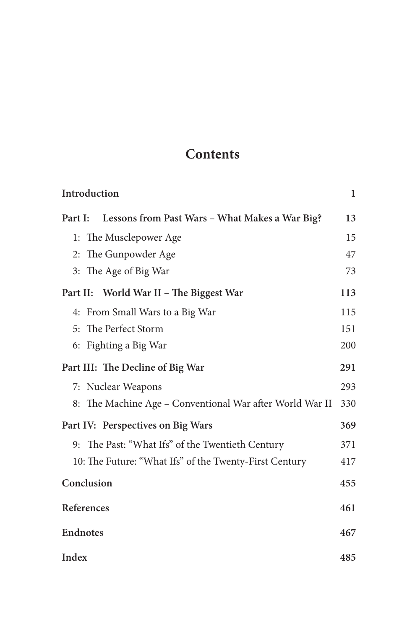# **Contents**

| Introduction         |                                                          | 1   |
|----------------------|----------------------------------------------------------|-----|
| Part I:              | Lessons from Past Wars - What Makes a War Big?           | 13  |
|                      | 1: The Musclepower Age                                   | 15  |
| 2: The Gunpowder Age |                                                          | 47  |
|                      | 3: The Age of Big War                                    | 73  |
|                      | Part II: World War II - The Biggest War                  | 113 |
|                      | 4: From Small Wars to a Big War                          | 115 |
|                      | 5: The Perfect Storm                                     | 151 |
|                      | 6: Fighting a Big War                                    | 200 |
|                      | Part III: The Decline of Big War                         | 291 |
|                      | 7: Nuclear Weapons                                       | 293 |
|                      | 8: The Machine Age – Conventional War after World War II | 330 |
|                      | Part IV: Perspectives on Big Wars                        | 369 |
|                      | 9: The Past: "What Ifs" of the Twentieth Century         | 371 |
|                      | 10: The Future: "What Ifs" of the Twenty-First Century   | 417 |
| Conclusion           |                                                          | 455 |
| References           |                                                          | 461 |
| <b>Endnotes</b>      |                                                          | 467 |
| Index                |                                                          | 485 |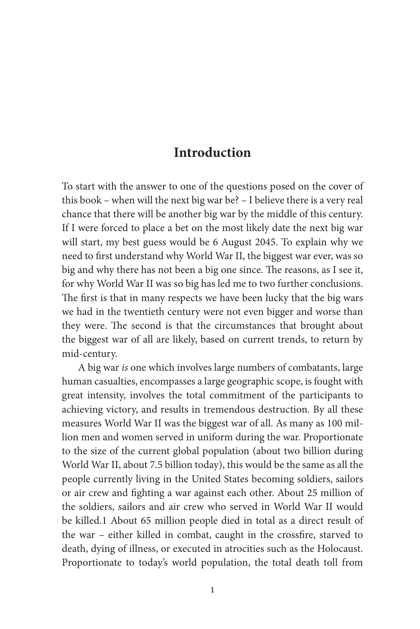# **Introduction**

To start with the answer to one of the questions posed on the cover of this book – when will the next big war be? – I believe there is a very real chance that there will be another big war by the middle of this century. If I were forced to place a bet on the most likely date the next big war will start, my best guess would be 6 August 2045. To explain why we need to first understand why World War II, the biggest war ever, was so big and why there has not been a big one since. The reasons, as I see it, for why World War II was so big has led me to two further conclusions. The first is that in many respects we have been lucky that the big wars we had in the twentieth century were not even bigger and worse than they were. The second is that the circumstances that brought about the biggest war of all are likely, based on current trends, to return by mid-century.

A big war *is* one which involves large numbers of combatants, large human casualties, encompasses a large geographic scope, is fought with great intensity, involves the total commitment of the participants to achieving victory, and results in tremendous destruction. By all these measures World War II was the biggest war of all. As many as 100 million men and women served in uniform during the war. Proportionate to the size of the current global population (about two billion during World War II, about 7.5 billion today), this would be the same as all the people currently living in the United States becoming soldiers, sailors or air crew and fighting a war against each other. About 25 million of the soldiers, sailors and air crew who served in World War II would be killed.1 About 65 million people died in total as a direct result of the war - either killed in combat, caught in the crossfire, starved to death, dying of illness, or executed in atrocities such as the Holocaust. Proportionate to today's world population, the total death toll from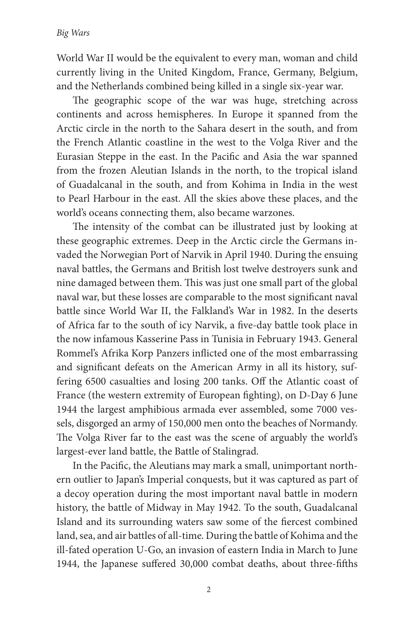World War II would be the equivalent to every man, woman and child currently living in the United Kingdom, France, Germany, Belgium, and the Netherlands combined being killed in a single six-year war.

The geographic scope of the war was huge, stretching across continents and across hemispheres. In Europe it spanned from the Arctic circle in the north to the Sahara desert in the south, and from the French Atlantic coastline in the west to the Volga River and the Eurasian Steppe in the east. In the Pacific and Asia the war spanned from the frozen Aleutian Islands in the north, to the tropical island of Guadalcanal in the south, and from Kohima in India in the west to Pearl Harbour in the east. All the skies above these places, and the world's oceans connecting them, also became warzones.

The intensity of the combat can be illustrated just by looking at these geographic extremes. Deep in the Arctic circle the Germans invaded the Norwegian Port of Narvik in April 1940. During the ensuing naval battles, the Germans and British lost twelve destroyers sunk and nine damaged between them. This was just one small part of the global naval war, but these losses are comparable to the most significant naval battle since World War II, the Falkland's War in 1982. In the deserts of Africa far to the south of icy Narvik, a five-day battle took place in the now infamous Kasserine Pass in Tunisia in February 1943. General Rommel's Afrika Korp Panzers inflicted one of the most embarrassing and significant defeats on the American Army in all its history, suffering 6500 casualties and losing 200 tanks. Off the Atlantic coast of France (the western extremity of European fighting), on D-Day 6 June 1944 the largest amphibious armada ever assembled, some 7000 vessels, disgorged an army of 150,000 men onto the beaches of Normandy. The Volga River far to the east was the scene of arguably the world's largest-ever land battle, the Battle of Stalingrad.

In the Pacific, the Aleutians may mark a small, unimportant northern outlier to Japan's Imperial conquests, but it was captured as part of a decoy operation during the most important naval battle in modern history, the battle of Midway in May 1942. To the south, Guadalcanal Island and its surrounding waters saw some of the fiercest combined land, sea, and air battles of all-time. During the battle of Kohima and the ill-fated operation U-Go, an invasion of eastern India in March to June 1944, the Japanese suffered 30,000 combat deaths, about three-fifths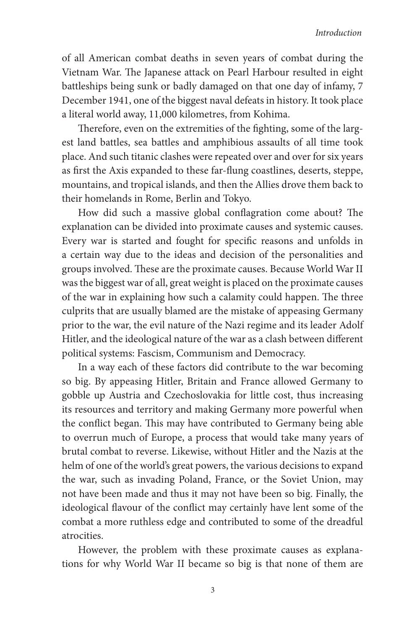#### *Introduction*

of all American combat deaths in seven years of combat during the Vietnam War. The Japanese attack on Pearl Harbour resulted in eight battleships being sunk or badly damaged on that one day of infamy, 7 December 1941, one of the biggest naval defeats in history. It took place a literal world away, 11,000 kilometres, from Kohima.

Therefore, even on the extremities of the fighting, some of the largest land battles, sea battles and amphibious assaults of all time took place. And such titanic clashes were repeated over and over for six years as first the Axis expanded to these far-flung coastlines, deserts, steppe, mountains, and tropical islands, and then the Allies drove them back to their homelands in Rome, Berlin and Tokyo.

How did such a massive global conflagration come about? The explanation can be divided into proximate causes and systemic causes. Every war is started and fought for specific reasons and unfolds in a certain way due to the ideas and decision of the personalities and groups involved. These are the proximate causes. Because World War II was the biggest war of all, great weight is placed on the proximate causes of the war in explaining how such a calamity could happen. The three culprits that are usually blamed are the mistake of appeasing Germany prior to the war, the evil nature of the Nazi regime and its leader Adolf Hitler, and the ideological nature of the war as a clash between different political systems: Fascism, Communism and Democracy.

In a way each of these factors did contribute to the war becoming so big. By appeasing Hitler, Britain and France allowed Germany to gobble up Austria and Czechoslovakia for little cost, thus increasing its resources and territory and making Germany more powerful when the conflict began. This may have contributed to Germany being able to overrun much of Europe, a process that would take many years of brutal combat to reverse. Likewise, without Hitler and the Nazis at the helm of one of the world's great powers, the various decisions to expand the war, such as invading Poland, France, or the Soviet Union, may not have been made and thus it may not have been so big. Finally, the ideological flavour of the conflict may certainly have lent some of the combat a more ruthless edge and contributed to some of the dreadful atrocities.

However, the problem with these proximate causes as explanations for why World War II became so big is that none of them are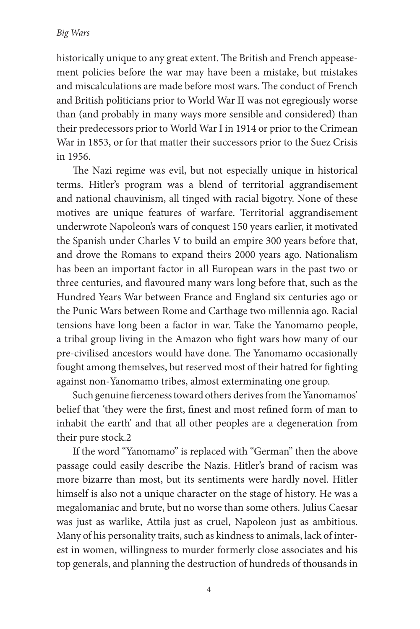historically unique to any great extent. The British and French appeasement policies before the war may have been a mistake, but mistakes and miscalculations are made before most wars. The conduct of French and British politicians prior to World War II was not egregiously worse than (and probably in many ways more sensible and considered) than their predecessors prior to World War I in 1914 or prior to the Crimean War in 1853, or for that matter their successors prior to the Suez Crisis in 1956.

The Nazi regime was evil, but not especially unique in historical terms. Hitler's program was a blend of territorial aggrandisement and national chauvinism, all tinged with racial bigotry. None of these motives are unique features of warfare. Territorial aggrandisement underwrote Napoleon's wars of conquest 150 years earlier, it motivated the Spanish under Charles V to build an empire 300 years before that, and drove the Romans to expand theirs 2000 years ago. Nationalism has been an important factor in all European wars in the past two or three centuries, and flavoured many wars long before that, such as the Hundred Years War between France and England six centuries ago or the Punic Wars between Rome and Carthage two millennia ago. Racial tensions have long been a factor in war. Take the Yanomamo people, a tribal group living in the Amazon who fight wars how many of our pre-civilised ancestors would have done. The Yanomamo occasionally fought among themselves, but reserved most of their hatred for fighting against non-Yanomamo tribes, almost exterminating one group.

Such genuine fierceness toward others derives from the Yanomamos' belief that 'they were the first, finest and most refined form of man to inhabit the earth' and that all other peoples are a degeneration from their pure stock.2

If the word "Yanomamo" is replaced with "German" then the above passage could easily describe the Nazis. Hitler's brand of racism was more bizarre than most, but its sentiments were hardly novel. Hitler himself is also not a unique character on the stage of history. He was a megalomaniac and brute, but no worse than some others. Julius Caesar was just as warlike, Attila just as cruel, Napoleon just as ambitious. Many of his personality traits, such as kindness to animals, lack of interest in women, willingness to murder formerly close associates and his top generals, and planning the destruction of hundreds of thousands in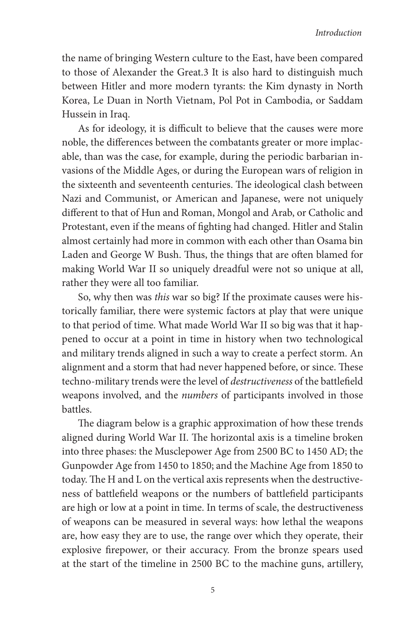the name of bringing Western culture to the East, have been compared to those of Alexander the Great.3 It is also hard to distinguish much between Hitler and more modern tyrants: the Kim dynasty in North Korea, Le Duan in North Vietnam, Pol Pot in Cambodia, or Saddam Hussein in Iraq.

As for ideology, it is difficult to believe that the causes were more noble, the differences between the combatants greater or more implacable, than was the case, for example, during the periodic barbarian invasions of the Middle Ages, or during the European wars of religion in the sixteenth and seventeenth centuries. The ideological clash between Nazi and Communist, or American and Japanese, were not uniquely different to that of Hun and Roman, Mongol and Arab, or Catholic and Protestant, even if the means of fighting had changed. Hitler and Stalin almost certainly had more in common with each other than Osama bin Laden and George W Bush. Thus, the things that are often blamed for making World War II so uniquely dreadful were not so unique at all, rather they were all too familiar.

So, why then was *this* war so big? If the proximate causes were historically familiar, there were systemic factors at play that were unique to that period of time. What made World War II so big was that it happened to occur at a point in time in history when two technological and military trends aligned in such a way to create a perfect storm. An alignment and a storm that had never happened before, or since. These techno-military trends were the level of *destructiveness* of the battlefield weapons involved, and the *numbers* of participants involved in those battles.

The diagram below is a graphic approximation of how these trends aligned during World War II. The horizontal axis is a timeline broken into three phases: the Musclepower Age from 2500 BC to 1450 AD; the Gunpowder Age from 1450 to 1850; and the Machine Age from 1850 to today. The H and L on the vertical axis represents when the destructiveness of battlefield weapons or the numbers of battlefield participants are high or low at a point in time. In terms of scale, the destructiveness of weapons can be measured in several ways: how lethal the weapons are, how easy they are to use, the range over which they operate, their explosive firepower, or their accuracy. From the bronze spears used at the start of the timeline in 2500 BC to the machine guns, artillery,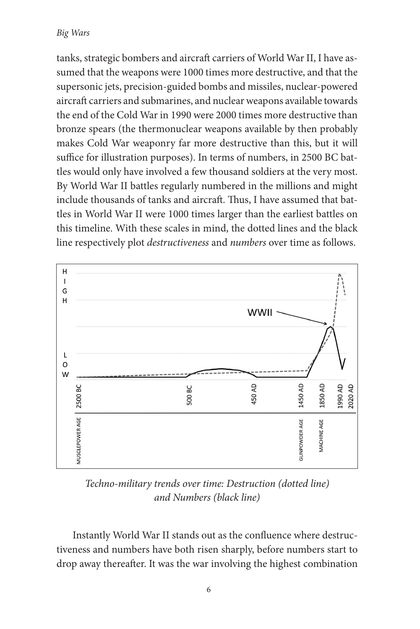tanks, strategic bombers and aircraft carriers of World War II, I have assumed that the weapons were 1000 times more destructive, and that the supersonic jets, precision-guided bombs and missiles, nuclear-powered aircraft carriers and submarines, and nuclear weapons available towards the end of the Cold War in 1990 were 2000 times more destructive than bronze spears (the thermonuclear weapons available by then probably makes Cold War weaponry far more destructive than this, but it will suffice for illustration purposes). In terms of numbers, in 2500 BC battles would only have involved a few thousand soldiers at the very most. By World War II battles regularly numbered in the millions and might include thousands of tanks and aircraft. Thus, I have assumed that battles in World War II were 1000 times larger than the earliest battles on this timeline. With these scales in mind, the dotted lines and the black line respectively plot *destructiveness* and *numbers* over time as follows.



*Techno-military trends over time: Destruction (dotted line) and Numbers (black line)*

Instantly World War II stands out as the confluence where destructiveness and numbers have both risen sharply, before numbers start to drop away thereafter. It was the war involving the highest combination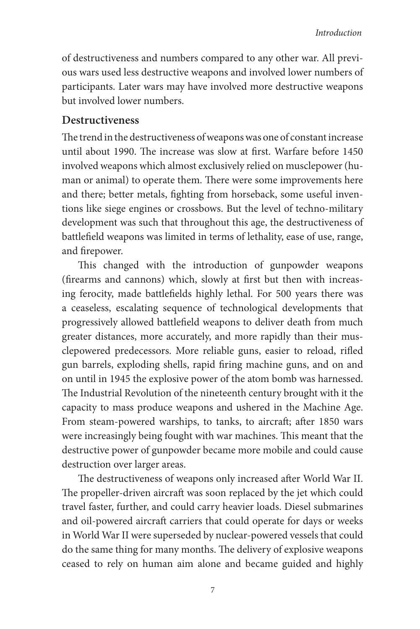of destructiveness and numbers compared to any other war. All previous wars used less destructive weapons and involved lower numbers of participants. Later wars may have involved more destructive weapons but involved lower numbers.

#### **Destructiveness**

The trend in the destructiveness of weapons was one of constant increase until about 1990. The increase was slow at first. Warfare before 1450 involved weapons which almost exclusively relied on musclepower (human or animal) to operate them. There were some improvements here and there; better metals, fighting from horseback, some useful inventions like siege engines or crossbows. But the level of techno-military development was such that throughout this age, the destructiveness of battlefield weapons was limited in terms of lethality, ease of use, range, and firepower.

This changed with the introduction of gunpowder weapons (firearms and cannons) which, slowly at first but then with increasing ferocity, made battlefields highly lethal. For 500 years there was a ceaseless, escalating sequence of technological developments that progressively allowed battlefield weapons to deliver death from much greater distances, more accurately, and more rapidly than their musclepowered predecessors. More reliable guns, easier to reload, rifled gun barrels, exploding shells, rapid firing machine guns, and on and on until in 1945 the explosive power of the atom bomb was harnessed. The Industrial Revolution of the nineteenth century brought with it the capacity to mass produce weapons and ushered in the Machine Age. From steam-powered warships, to tanks, to aircraft; after 1850 wars were increasingly being fought with war machines. This meant that the destructive power of gunpowder became more mobile and could cause destruction over larger areas.

The destructiveness of weapons only increased after World War II. The propeller-driven aircraft was soon replaced by the jet which could travel faster, further, and could carry heavier loads. Diesel submarines and oil-powered aircraft carriers that could operate for days or weeks in World War II were superseded by nuclear-powered vessels that could do the same thing for many months. The delivery of explosive weapons ceased to rely on human aim alone and became guided and highly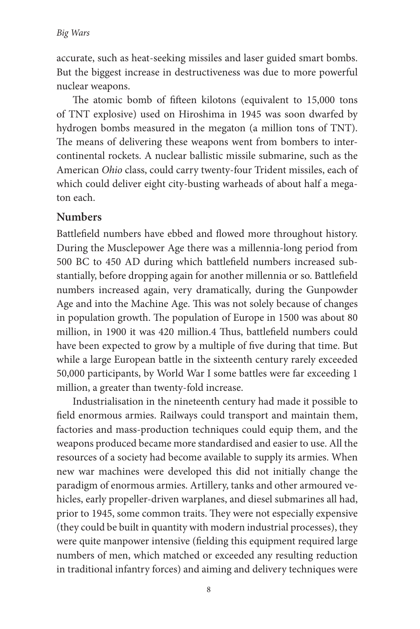accurate, such as heat-seeking missiles and laser guided smart bombs. But the biggest increase in destructiveness was due to more powerful nuclear weapons.

The atomic bomb of fifteen kilotons (equivalent to 15,000 tons of TNT explosive) used on Hiroshima in 1945 was soon dwarfed by hydrogen bombs measured in the megaton (a million tons of TNT). The means of delivering these weapons went from bombers to intercontinental rockets. A nuclear ballistic missile submarine, such as the American *Ohio* class, could carry twenty-four Trident missiles, each of which could deliver eight city-busting warheads of about half a megaton each.

## **Numbers**

Battlefield numbers have ebbed and flowed more throughout history. During the Musclepower Age there was a millennia-long period from 500 BC to 450 AD during which battlefield numbers increased substantially, before dropping again for another millennia or so. Battlefield numbers increased again, very dramatically, during the Gunpowder Age and into the Machine Age. This was not solely because of changes in population growth. The population of Europe in 1500 was about 80 million, in 1900 it was 420 million.4 Thus, battlefield numbers could have been expected to grow by a multiple of five during that time. But while a large European battle in the sixteenth century rarely exceeded 50,000 participants, by World War I some battles were far exceeding 1 million, a greater than twenty-fold increase.

Industrialisation in the nineteenth century had made it possible to field enormous armies. Railways could transport and maintain them, factories and mass-production techniques could equip them, and the weapons produced became more standardised and easier to use. All the resources of a society had become available to supply its armies. When new war machines were developed this did not initially change the paradigm of enormous armies. Artillery, tanks and other armoured vehicles, early propeller-driven warplanes, and diesel submarines all had, prior to 1945, some common traits. They were not especially expensive (they could be built in quantity with modern industrial processes), they were quite manpower intensive (fielding this equipment required large numbers of men, which matched or exceeded any resulting reduction in traditional infantry forces) and aiming and delivery techniques were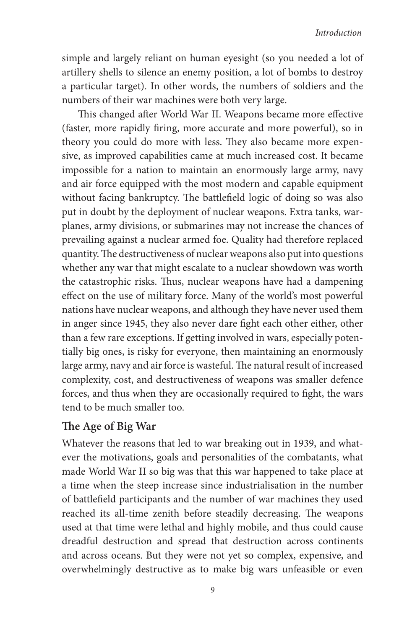#### *Introduction*

simple and largely reliant on human eyesight (so you needed a lot of artillery shells to silence an enemy position, a lot of bombs to destroy a particular target). In other words, the numbers of soldiers and the numbers of their war machines were both very large.

This changed after World War II. Weapons became more effective (faster, more rapidly firing, more accurate and more powerful), so in theory you could do more with less. They also became more expensive, as improved capabilities came at much increased cost. It became impossible for a nation to maintain an enormously large army, navy and air force equipped with the most modern and capable equipment without facing bankruptcy. The battlefield logic of doing so was also put in doubt by the deployment of nuclear weapons. Extra tanks, warplanes, army divisions, or submarines may not increase the chances of prevailing against a nuclear armed foe. Quality had therefore replaced quantity. The destructiveness of nuclear weapons also put into questions whether any war that might escalate to a nuclear showdown was worth the catastrophic risks. Thus, nuclear weapons have had a dampening effect on the use of military force. Many of the world's most powerful nations have nuclear weapons, and although they have never used them in anger since 1945, they also never dare fight each other either, other than a few rare exceptions. If getting involved in wars, especially potentially big ones, is risky for everyone, then maintaining an enormously large army, navy and air force is wasteful. The natural result of increased complexity, cost, and destructiveness of weapons was smaller defence forces, and thus when they are occasionally required to fight, the wars tend to be much smaller too.

### **!e Age of Big War**

Whatever the reasons that led to war breaking out in 1939, and whatever the motivations, goals and personalities of the combatants, what made World War II so big was that this war happened to take place at a time when the steep increase since industrialisation in the number of battlefield participants and the number of war machines they used reached its all-time zenith before steadily decreasing. The weapons used at that time were lethal and highly mobile, and thus could cause dreadful destruction and spread that destruction across continents and across oceans. But they were not yet so complex, expensive, and overwhelmingly destructive as to make big wars unfeasible or even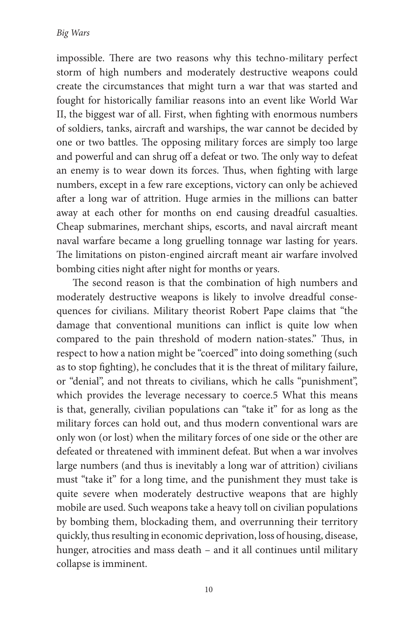impossible. There are two reasons why this techno-military perfect storm of high numbers and moderately destructive weapons could create the circumstances that might turn a war that was started and fought for historically familiar reasons into an event like World War II, the biggest war of all. First, when fighting with enormous numbers of soldiers, tanks, aircraft and warships, the war cannot be decided by one or two battles. The opposing military forces are simply too large and powerful and can shrug off a defeat or two. The only way to defeat an enemy is to wear down its forces. Thus, when fighting with large numbers, except in a few rare exceptions, victory can only be achieved after a long war of attrition. Huge armies in the millions can batter away at each other for months on end causing dreadful casualties. Cheap submarines, merchant ships, escorts, and naval aircraft meant naval warfare became a long gruelling tonnage war lasting for years. The limitations on piston-engined aircraft meant air warfare involved bombing cities night after night for months or years.

The second reason is that the combination of high numbers and moderately destructive weapons is likely to involve dreadful consequences for civilians. Military theorist Robert Pape claims that "the damage that conventional munitions can inflict is quite low when compared to the pain threshold of modern nation-states." Thus, in respect to how a nation might be "coerced" into doing something (such as to stop fighting), he concludes that it is the threat of military failure, or "denial", and not threats to civilians, which he calls "punishment", which provides the leverage necessary to coerce.5 What this means is that, generally, civilian populations can "take it" for as long as the military forces can hold out, and thus modern conventional wars are only won (or lost) when the military forces of one side or the other are defeated or threatened with imminent defeat. But when a war involves large numbers (and thus is inevitably a long war of attrition) civilians must "take it" for a long time, and the punishment they must take is quite severe when moderately destructive weapons that are highly mobile are used. Such weapons take a heavy toll on civilian populations by bombing them, blockading them, and overrunning their territory quickly, thus resulting in economic deprivation, loss of housing, disease, hunger, atrocities and mass death – and it all continues until military collapse is imminent.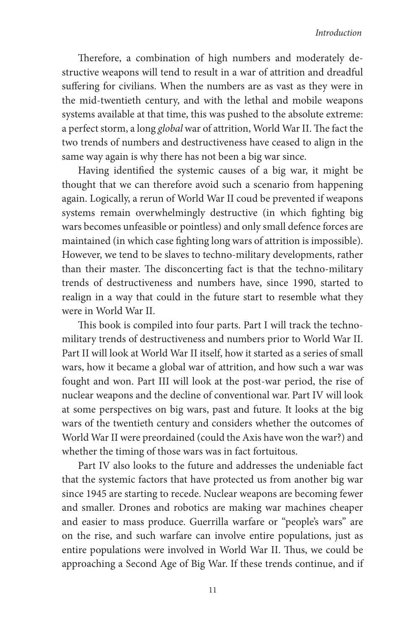Therefore, a combination of high numbers and moderately destructive weapons will tend to result in a war of attrition and dreadful suffering for civilians. When the numbers are as vast as they were in the mid-twentieth century, and with the lethal and mobile weapons systems available at that time, this was pushed to the absolute extreme: a perfect storm, a long *global* war of attrition, World War II. The fact the two trends of numbers and destructiveness have ceased to align in the same way again is why there has not been a big war since.

Having identified the systemic causes of a big war, it might be thought that we can therefore avoid such a scenario from happening again. Logically, a rerun of World War II coud be prevented if weapons systems remain overwhelmingly destructive (in which fighting big wars becomes unfeasible or pointless) and only small defence forces are maintained (in which case fighting long wars of attrition is impossible). However, we tend to be slaves to techno-military developments, rather than their master. The disconcerting fact is that the techno-military trends of destructiveness and numbers have, since 1990, started to realign in a way that could in the future start to resemble what they were in World War II.

This book is compiled into four parts. Part I will track the technomilitary trends of destructiveness and numbers prior to World War II. Part II will look at World War II itself, how it started as a series of small wars, how it became a global war of attrition, and how such a war was fought and won. Part III will look at the post-war period, the rise of nuclear weapons and the decline of conventional war. Part IV will look at some perspectives on big wars, past and future. It looks at the big wars of the twentieth century and considers whether the outcomes of World War II were preordained (could the Axis have won the war?) and whether the timing of those wars was in fact fortuitous.

Part IV also looks to the future and addresses the undeniable fact that the systemic factors that have protected us from another big war since 1945 are starting to recede. Nuclear weapons are becoming fewer and smaller. Drones and robotics are making war machines cheaper and easier to mass produce. Guerrilla warfare or "people's wars" are on the rise, and such warfare can involve entire populations, just as entire populations were involved in World War II. Thus, we could be approaching a Second Age of Big War. If these trends continue, and if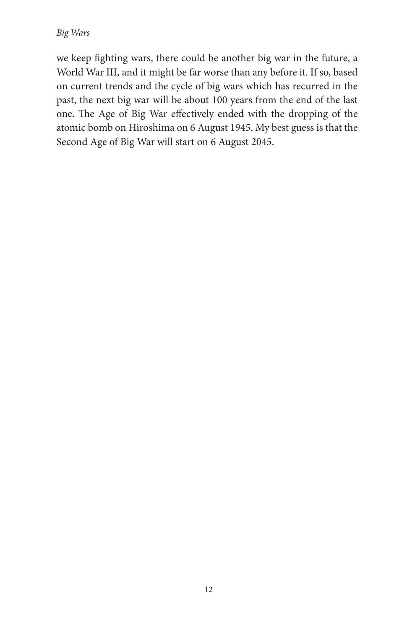we keep fighting wars, there could be another big war in the future, a World War III, and it might be far worse than any before it. If so, based on current trends and the cycle of big wars which has recurred in the past, the next big war will be about 100 years from the end of the last one. The Age of Big War effectively ended with the dropping of the atomic bomb on Hiroshima on 6 August 1945. My best guess is that the Second Age of Big War will start on 6 August 2045.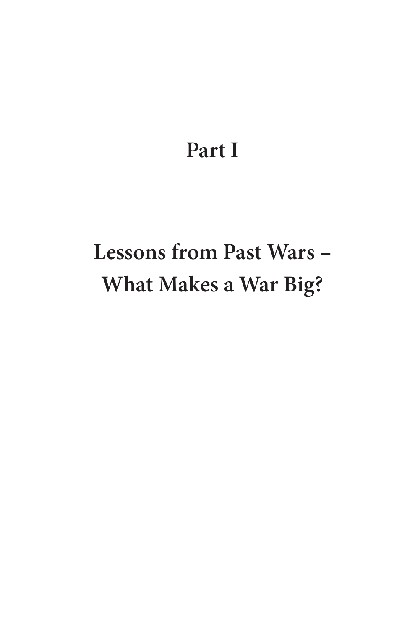# **Part I**

# **Lessons from Past Wars – What Makes a War Big?**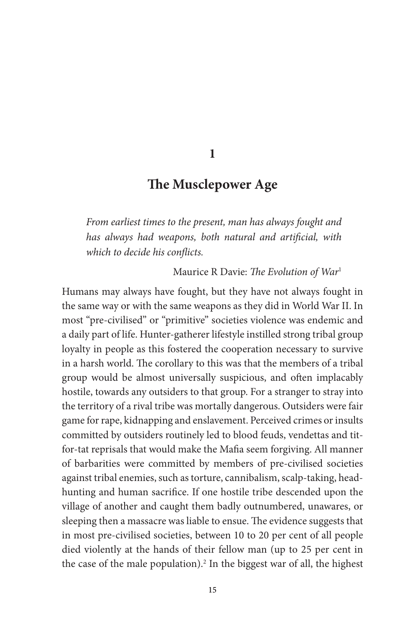**1**

# **!e Musclepower Age**

*From earliest times to the present, man has always fought and has always had weapons, both natural and artificial, with*  $which to decide his conflicts.$ 

Maurice R Davie: The Evolution of War<sup>1</sup>

Humans may always have fought, but they have not always fought in the same way or with the same weapons as they did in World War II. In most "pre-civilised" or "primitive" societies violence was endemic and a daily part of life. Hunter-gatherer lifestyle instilled strong tribal group loyalty in people as this fostered the cooperation necessary to survive in a harsh world. The corollary to this was that the members of a tribal group would be almost universally suspicious, and often implacably hostile, towards any outsiders to that group. For a stranger to stray into the territory of a rival tribe was mortally dangerous. Outsiders were fair game for rape, kidnapping and enslavement. Perceived crimes or insults committed by outsiders routinely led to blood feuds, vendettas and titfor-tat reprisals that would make the Mafia seem forgiving. All manner of barbarities were committed by members of pre-civilised societies against tribal enemies, such as torture, cannibalism, scalp-taking, headhunting and human sacrifice. If one hostile tribe descended upon the village of another and caught them badly outnumbered, unawares, or sleeping then a massacre was liable to ensue. The evidence suggests that in most pre-civilised societies, between 10 to 20 per cent of all people died violently at the hands of their fellow man (up to 25 per cent in the case of the male population).<sup>2</sup> In the biggest war of all, the highest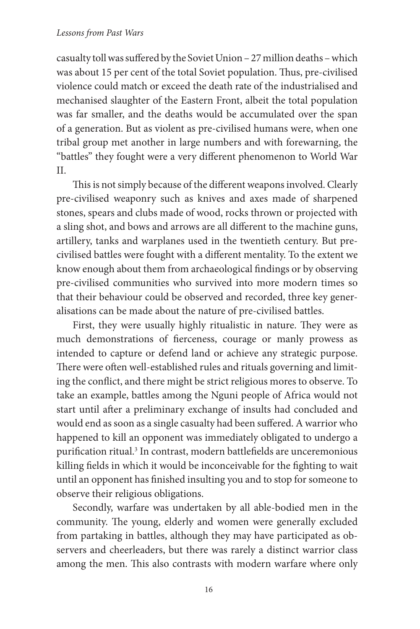#### *Lessons from Past Wars*

casualty toll was suffered by the Soviet Union – 27 million deaths – which was about 15 per cent of the total Soviet population. Thus, pre-civilised violence could match or exceed the death rate of the industrialised and mechanised slaughter of the Eastern Front, albeit the total population was far smaller, and the deaths would be accumulated over the span of a generation. But as violent as pre-civilised humans were, when one tribal group met another in large numbers and with forewarning, the "battles" they fought were a very different phenomenon to World War II.

This is not simply because of the different weapons involved. Clearly pre-civilised weaponry such as knives and axes made of sharpened stones, spears and clubs made of wood, rocks thrown or projected with a sling shot, and bows and arrows are all different to the machine guns, artillery, tanks and warplanes used in the twentieth century. But precivilised battles were fought with a different mentality. To the extent we know enough about them from archaeological findings or by observing pre-civilised communities who survived into more modern times so that their behaviour could be observed and recorded, three key generalisations can be made about the nature of pre-civilised battles.

First, they were usually highly ritualistic in nature. They were as much demonstrations of fierceness, courage or manly prowess as intended to capture or defend land or achieve any strategic purpose. There were often well-established rules and rituals governing and limiting the conflict, and there might be strict religious mores to observe. To take an example, battles among the Nguni people of Africa would not start until after a preliminary exchange of insults had concluded and would end as soon as a single casualty had been suffered. A warrior who happened to kill an opponent was immediately obligated to undergo a purification ritual.<sup>3</sup> In contrast, modern battlefields are unceremonious killing fields in which it would be inconceivable for the fighting to wait until an opponent has finished insulting you and to stop for someone to observe their religious obligations.

Secondly, warfare was undertaken by all able-bodied men in the community. The young, elderly and women were generally excluded from partaking in battles, although they may have participated as observers and cheerleaders, but there was rarely a distinct warrior class among the men. This also contrasts with modern warfare where only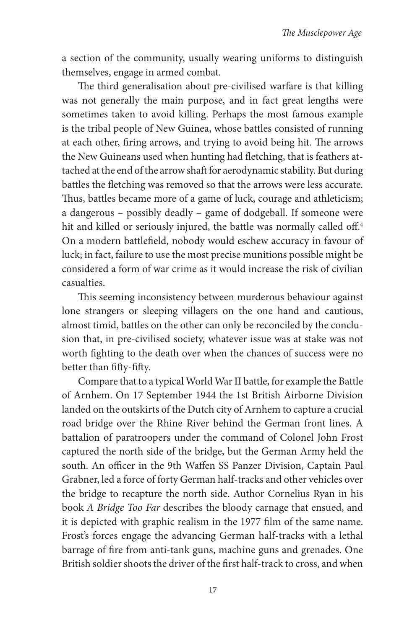a section of the community, usually wearing uniforms to distinguish themselves, engage in armed combat.

The third generalisation about pre-civilised warfare is that killing was not generally the main purpose, and in fact great lengths were sometimes taken to avoid killing. Perhaps the most famous example is the tribal people of New Guinea, whose battles consisted of running at each other, firing arrows, and trying to avoid being hit. The arrows the New Guineans used when hunting had fletching, that is feathers attached at the end of the arrow shaft for aerodynamic stability. But during battles the fletching was removed so that the arrows were less accurate. Thus, battles became more of a game of luck, courage and athleticism; a dangerous – possibly deadly – game of dodgeball. If someone were hit and killed or seriously injured, the battle was normally called off.<del>'</del> On a modern battlefield, nobody would eschew accuracy in favour of luck; in fact, failure to use the most precise munitions possible might be considered a form of war crime as it would increase the risk of civilian casualties.

This seeming inconsistency between murderous behaviour against lone strangers or sleeping villagers on the one hand and cautious, almost timid, battles on the other can only be reconciled by the conclusion that, in pre-civilised society, whatever issue was at stake was not worth fighting to the death over when the chances of success were no better than fifty-fifty.

Compare that to a typical World War II battle, for example the Battle of Arnhem. On 17 September 1944 the 1st British Airborne Division landed on the outskirts of the Dutch city of Arnhem to capture a crucial road bridge over the Rhine River behind the German front lines. A battalion of paratroopers under the command of Colonel John Frost captured the north side of the bridge, but the German Army held the south. An officer in the 9th Waffen SS Panzer Division, Captain Paul Grabner, led a force of forty German half-tracks and other vehicles over the bridge to recapture the north side. Author Cornelius Ryan in his book *A Bridge Too Far* describes the bloody carnage that ensued, and it is depicted with graphic realism in the 1977 film of the same name. Frost's forces engage the advancing German half-tracks with a lethal barrage of fire from anti-tank guns, machine guns and grenades. One British soldier shoots the driver of the first half-track to cross, and when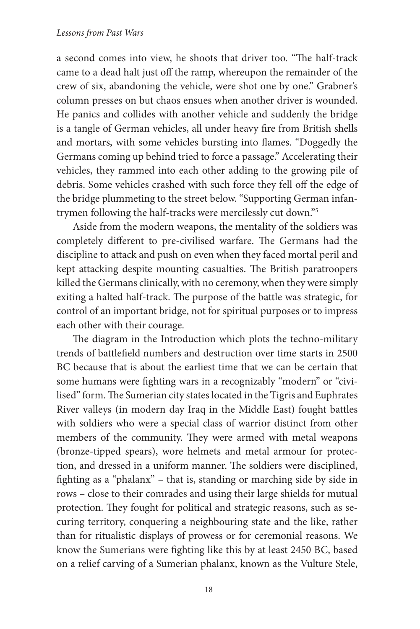a second comes into view, he shoots that driver too. "The half-track came to a dead halt just off the ramp, whereupon the remainder of the crew of six, abandoning the vehicle, were shot one by one." Grabner's column presses on but chaos ensues when another driver is wounded. He panics and collides with another vehicle and suddenly the bridge is a tangle of German vehicles, all under heavy fire from British shells and mortars, with some vehicles bursting into flames. "Doggedly the Germans coming up behind tried to force a passage." Accelerating their vehicles, they rammed into each other adding to the growing pile of debris. Some vehicles crashed with such force they fell off the edge of the bridge plummeting to the street below. "Supporting German infantrymen following the half-tracks were mercilessly cut down."5

Aside from the modern weapons, the mentality of the soldiers was completely different to pre-civilised warfare. The Germans had the discipline to attack and push on even when they faced mortal peril and kept attacking despite mounting casualties. The British paratroopers killed the Germans clinically, with no ceremony, when they were simply exiting a halted half-track. The purpose of the battle was strategic, for control of an important bridge, not for spiritual purposes or to impress each other with their courage.

The diagram in the Introduction which plots the techno-military trends of battlefield numbers and destruction over time starts in 2500 BC because that is about the earliest time that we can be certain that some humans were fighting wars in a recognizably "modern" or "civilised" form. The Sumerian city states located in the Tigris and Euphrates River valleys (in modern day Iraq in the Middle East) fought battles with soldiers who were a special class of warrior distinct from other members of the community. They were armed with metal weapons (bronze-tipped spears), wore helmets and metal armour for protection, and dressed in a uniform manner. The soldiers were disciplined, fighting as a "phalanx" - that is, standing or marching side by side in rows – close to their comrades and using their large shields for mutual protection. They fought for political and strategic reasons, such as securing territory, conquering a neighbouring state and the like, rather than for ritualistic displays of prowess or for ceremonial reasons. We know the Sumerians were fighting like this by at least 2450 BC, based on a relief carving of a Sumerian phalanx, known as the Vulture Stele,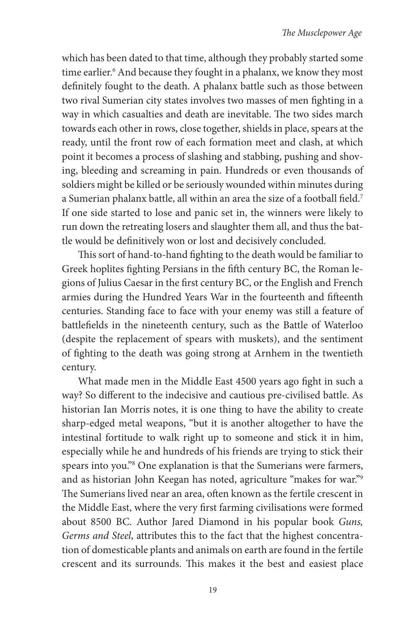which has been dated to that time, although they probably started some time earlier.<sup>6</sup> And because they fought in a phalanx, we know they most definitely fought to the death. A phalanx battle such as those between two rival Sumerian city states involves two masses of men fighting in a way in which casualties and death are inevitable. The two sides march towards each other in rows, close together, shields in place, spears at the ready, until the front row of each formation meet and clash, at which point it becomes a process of slashing and stabbing, pushing and shoving, bleeding and screaming in pain. Hundreds or even thousands of soldiers might be killed or be seriously wounded within minutes during a Sumerian phalanx battle, all within an area the size of a football field.<sup>7</sup> If one side started to lose and panic set in, the winners were likely to run down the retreating losers and slaughter them all, and thus the battle would be definitively won or lost and decisively concluded.

This sort of hand-to-hand fighting to the death would be familiar to Greek hoplites fighting Persians in the fifth century BC, the Roman legions of Julius Caesar in the first century BC, or the English and French armies during the Hundred Years War in the fourteenth and fifteenth centuries. Standing face to face with your enemy was still a feature of battlefields in the nineteenth century, such as the Battle of Waterloo (despite the replacement of spears with muskets), and the sentiment of fighting to the death was going strong at Arnhem in the twentieth century.

What made men in the Middle East 4500 years ago fight in such a way? So different to the indecisive and cautious pre-civilised battle. As historian Ian Morris notes, it is one thing to have the ability to create sharp-edged metal weapons, "but it is another altogether to have the intestinal fortitude to walk right up to someone and stick it in him, especially while he and hundreds of his friends are trying to stick their spears into you."8 One explanation is that the Sumerians were farmers, and as historian John Keegan has noted, agriculture "makes for war."9 The Sumerians lived near an area, often known as the fertile crescent in the Middle East, where the very first farming civilisations were formed about 8500 BC. Author Jared Diamond in his popular book *Guns, Germs and Steel*, attributes this to the fact that the highest concentration of domesticable plants and animals on earth are found in the fertile crescent and its surrounds. This makes it the best and easiest place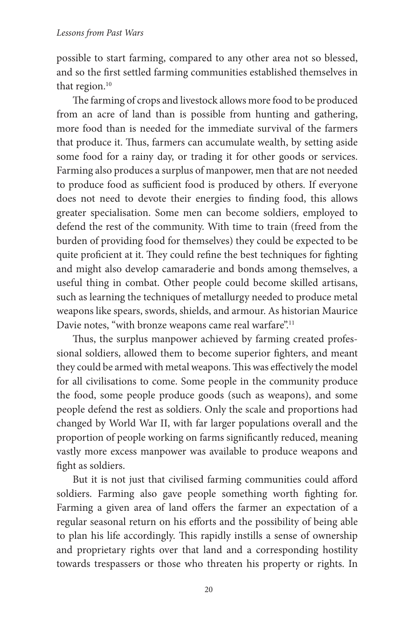possible to start farming, compared to any other area not so blessed, and so the first settled farming communities established themselves in that region.<sup>10</sup>

The farming of crops and livestock allows more food to be produced from an acre of land than is possible from hunting and gathering, more food than is needed for the immediate survival of the farmers that produce it. Thus, farmers can accumulate wealth, by setting aside some food for a rainy day, or trading it for other goods or services. Farming also produces a surplus of manpower, men that are not needed to produce food as sufficient food is produced by others. If everyone does not need to devote their energies to finding food, this allows greater specialisation. Some men can become soldiers, employed to defend the rest of the community. With time to train (freed from the burden of providing food for themselves) they could be expected to be quite proficient at it. They could refine the best techniques for fighting and might also develop camaraderie and bonds among themselves, a useful thing in combat. Other people could become skilled artisans, such as learning the techniques of metallurgy needed to produce metal weapons like spears, swords, shields, and armour. As historian Maurice Davie notes, "with bronze weapons came real warfare".<sup>11</sup>

Thus, the surplus manpower achieved by farming created professional soldiers, allowed them to become superior fighters, and meant they could be armed with metal weapons. This was effectively the model for all civilisations to come. Some people in the community produce the food, some people produce goods (such as weapons), and some people defend the rest as soldiers. Only the scale and proportions had changed by World War II, with far larger populations overall and the proportion of people working on farms significantly reduced, meaning vastly more excess manpower was available to produce weapons and fight as soldiers.

But it is not just that civilised farming communities could afford soldiers. Farming also gave people something worth fighting for. Farming a given area of land offers the farmer an expectation of a regular seasonal return on his efforts and the possibility of being able to plan his life accordingly. This rapidly instills a sense of ownership and proprietary rights over that land and a corresponding hostility towards trespassers or those who threaten his property or rights. In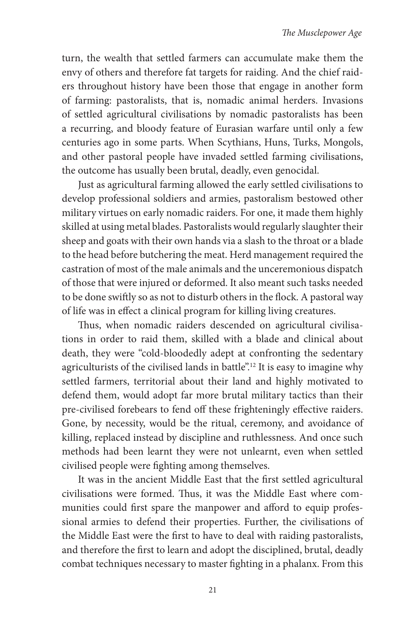turn, the wealth that settled farmers can accumulate make them the envy of others and therefore fat targets for raiding. And the chief raiders throughout history have been those that engage in another form of farming: pastoralists, that is, nomadic animal herders. Invasions of settled agricultural civilisations by nomadic pastoralists has been a recurring, and bloody feature of Eurasian warfare until only a few centuries ago in some parts. When Scythians, Huns, Turks, Mongols, and other pastoral people have invaded settled farming civilisations, the outcome has usually been brutal, deadly, even genocidal.

Just as agricultural farming allowed the early settled civilisations to develop professional soldiers and armies, pastoralism bestowed other military virtues on early nomadic raiders. For one, it made them highly skilled at using metal blades. Pastoralists would regularly slaughter their sheep and goats with their own hands via a slash to the throat or a blade to the head before butchering the meat. Herd management required the castration of most of the male animals and the unceremonious dispatch of those that were injured or deformed. It also meant such tasks needed to be done swiftly so as not to disturb others in the flock. A pastoral way of life was in effect a clinical program for killing living creatures.

Thus, when nomadic raiders descended on agricultural civilisations in order to raid them, skilled with a blade and clinical about death, they were "cold-bloodedly adept at confronting the sedentary agriculturists of the civilised lands in battle".12 It is easy to imagine why settled farmers, territorial about their land and highly motivated to defend them, would adopt far more brutal military tactics than their pre-civilised forebears to fend off these frighteningly effective raiders. Gone, by necessity, would be the ritual, ceremony, and avoidance of killing, replaced instead by discipline and ruthlessness. And once such methods had been learnt they were not unlearnt, even when settled civilised people were fighting among themselves.

It was in the ancient Middle East that the first settled agricultural civilisations were formed. Thus, it was the Middle East where communities could first spare the manpower and afford to equip professional armies to defend their properties. Further, the civilisations of the Middle East were the first to have to deal with raiding pastoralists, and therefore the first to learn and adopt the disciplined, brutal, deadly combat techniques necessary to master fighting in a phalanx. From this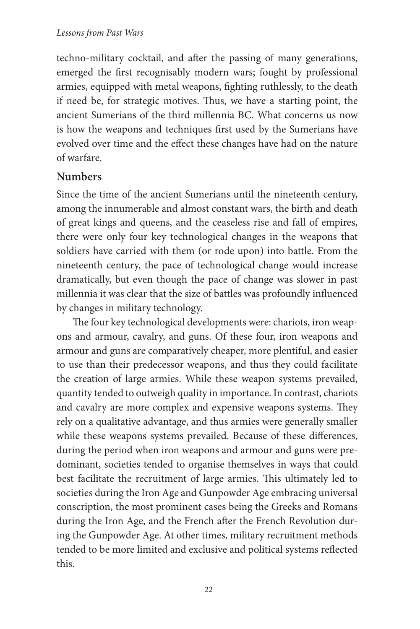techno-military cocktail, and after the passing of many generations, emerged the first recognisably modern wars; fought by professional armies, equipped with metal weapons, fighting ruthlessly, to the death if need be, for strategic motives. Thus, we have a starting point, the ancient Sumerians of the third millennia BC. What concerns us now is how the weapons and techniques first used by the Sumerians have evolved over time and the effect these changes have had on the nature of warfare.

# **Numbers**

Since the time of the ancient Sumerians until the nineteenth century, among the innumerable and almost constant wars, the birth and death of great kings and queens, and the ceaseless rise and fall of empires, there were only four key technological changes in the weapons that soldiers have carried with them (or rode upon) into battle. From the nineteenth century, the pace of technological change would increase dramatically, but even though the pace of change was slower in past millennia it was clear that the size of battles was profoundly influenced by changes in military technology.

The four key technological developments were: chariots, iron weapons and armour, cavalry, and guns. Of these four, iron weapons and armour and guns are comparatively cheaper, more plentiful, and easier to use than their predecessor weapons, and thus they could facilitate the creation of large armies. While these weapon systems prevailed, quantity tended to outweigh quality in importance. In contrast, chariots and cavalry are more complex and expensive weapons systems. They rely on a qualitative advantage, and thus armies were generally smaller while these weapons systems prevailed. Because of these differences, during the period when iron weapons and armour and guns were predominant, societies tended to organise themselves in ways that could best facilitate the recruitment of large armies. This ultimately led to societies during the Iron Age and Gunpowder Age embracing universal conscription, the most prominent cases being the Greeks and Romans during the Iron Age, and the French after the French Revolution during the Gunpowder Age. At other times, military recruitment methods tended to be more limited and exclusive and political systems reflected this.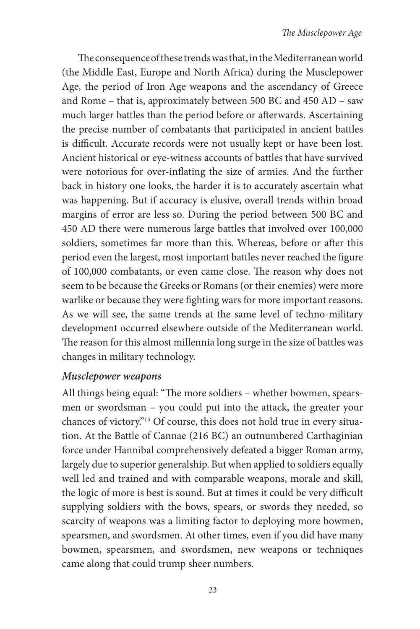The consequence of these trends was that, in the Mediterranean world (the Middle East, Europe and North Africa) during the Musclepower Age, the period of Iron Age weapons and the ascendancy of Greece and Rome – that is, approximately between 500 BC and 450 AD – saw much larger battles than the period before or afterwards. Ascertaining the precise number of combatants that participated in ancient battles is difficult. Accurate records were not usually kept or have been lost. Ancient historical or eye-witness accounts of battles that have survived were notorious for over-inflating the size of armies. And the further back in history one looks, the harder it is to accurately ascertain what was happening. But if accuracy is elusive, overall trends within broad margins of error are less so. During the period between 500 BC and 450 AD there were numerous large battles that involved over 100,000 soldiers, sometimes far more than this. Whereas, before or after this period even the largest, most important battles never reached the figure of 100,000 combatants, or even came close. The reason why does not seem to be because the Greeks or Romans (or their enemies) were more warlike or because they were fighting wars for more important reasons. As we will see, the same trends at the same level of techno-military development occurred elsewhere outside of the Mediterranean world. The reason for this almost millennia long surge in the size of battles was changes in military technology.

#### *Musclepower weapons*

All things being equal: "The more soldiers - whether bowmen, spearsmen or swordsman – you could put into the attack, the greater your chances of victory."13 Of course, this does not hold true in every situation. At the Battle of Cannae (216 BC) an outnumbered Carthaginian force under Hannibal comprehensively defeated a bigger Roman army, largely due to superior generalship. But when applied to soldiers equally well led and trained and with comparable weapons, morale and skill, the logic of more is best is sound. But at times it could be very difficult supplying soldiers with the bows, spears, or swords they needed, so scarcity of weapons was a limiting factor to deploying more bowmen, spearsmen, and swordsmen. At other times, even if you did have many bowmen, spearsmen, and swordsmen, new weapons or techniques came along that could trump sheer numbers.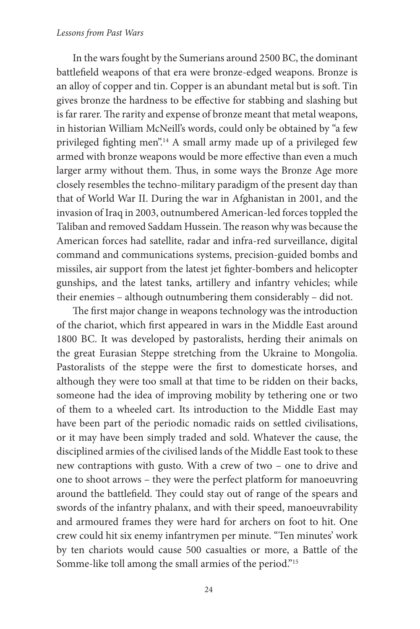#### *Lessons from Past Wars*

In the wars fought by the Sumerians around 2500 BC, the dominant battlefield weapons of that era were bronze-edged weapons. Bronze is an alloy of copper and tin. Copper is an abundant metal but is soft. Tin gives bronze the hardness to be effective for stabbing and slashing but is far rarer. The rarity and expense of bronze meant that metal weapons, in historian William McNeill's words, could only be obtained by "a few privileged fighting men".<sup>14</sup> A small army made up of a privileged few armed with bronze weapons would be more effective than even a much larger army without them. Thus, in some ways the Bronze Age more closely resembles the techno-military paradigm of the present day than that of World War II. During the war in Afghanistan in 2001, and the invasion of Iraq in 2003, outnumbered American-led forces toppled the Taliban and removed Saddam Hussein. The reason why was because the American forces had satellite, radar and infra-red surveillance, digital command and communications systems, precision-guided bombs and missiles, air support from the latest jet fighter-bombers and helicopter gunships, and the latest tanks, artillery and infantry vehicles; while their enemies – although outnumbering them considerably – did not.

The first major change in weapons technology was the introduction of the chariot, which first appeared in wars in the Middle East around 1800 BC. It was developed by pastoralists, herding their animals on the great Eurasian Steppe stretching from the Ukraine to Mongolia. Pastoralists of the steppe were the first to domesticate horses, and although they were too small at that time to be ridden on their backs, someone had the idea of improving mobility by tethering one or two of them to a wheeled cart. Its introduction to the Middle East may have been part of the periodic nomadic raids on settled civilisations, or it may have been simply traded and sold. Whatever the cause, the disciplined armies of the civilised lands of the Middle East took to these new contraptions with gusto. With a crew of two – one to drive and one to shoot arrows – they were the perfect platform for manoeuvring around the battlefield. They could stay out of range of the spears and swords of the infantry phalanx, and with their speed, manoeuvrability and armoured frames they were hard for archers on foot to hit. One crew could hit six enemy infantrymen per minute. "Ten minutes' work by ten chariots would cause 500 casualties or more, a Battle of the Somme-like toll among the small armies of the period."<sup>15</sup>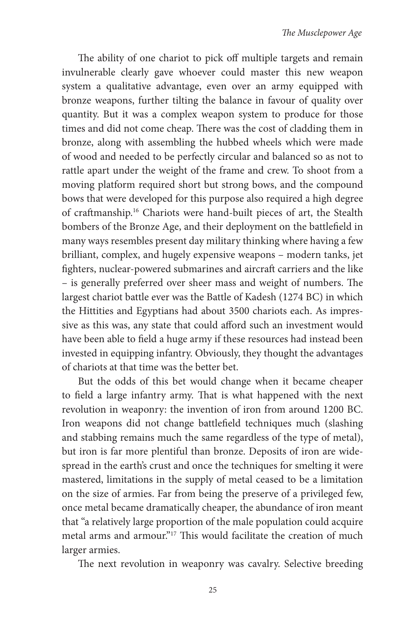The ability of one chariot to pick off multiple targets and remain invulnerable clearly gave whoever could master this new weapon system a qualitative advantage, even over an army equipped with bronze weapons, further tilting the balance in favour of quality over quantity. But it was a complex weapon system to produce for those times and did not come cheap. There was the cost of cladding them in bronze, along with assembling the hubbed wheels which were made of wood and needed to be perfectly circular and balanced so as not to rattle apart under the weight of the frame and crew. To shoot from a moving platform required short but strong bows, and the compound bows that were developed for this purpose also required a high degree of craftmanship.<sup>16</sup> Chariots were hand-built pieces of art, the Stealth bombers of the Bronze Age, and their deployment on the battlefield in many ways resembles present day military thinking where having a few brilliant, complex, and hugely expensive weapons – modern tanks, jet fighters, nuclear-powered submarines and aircraft carriers and the like – is generally preferred over sheer mass and weight of numbers. The largest chariot battle ever was the Battle of Kadesh (1274 BC) in which the Hittities and Egyptians had about 3500 chariots each. As impressive as this was, any state that could afford such an investment would have been able to field a huge army if these resources had instead been invested in equipping infantry. Obviously, they thought the advantages of chariots at that time was the better bet.

But the odds of this bet would change when it became cheaper to field a large infantry army. That is what happened with the next revolution in weaponry: the invention of iron from around 1200 BC. Iron weapons did not change battlefield techniques much (slashing and stabbing remains much the same regardless of the type of metal), but iron is far more plentiful than bronze. Deposits of iron are widespread in the earth's crust and once the techniques for smelting it were mastered, limitations in the supply of metal ceased to be a limitation on the size of armies. Far from being the preserve of a privileged few, once metal became dramatically cheaper, the abundance of iron meant that "a relatively large proportion of the male population could acquire metal arms and armour."<sup>17</sup> This would facilitate the creation of much larger armies.

The next revolution in weaponry was cavalry. Selective breeding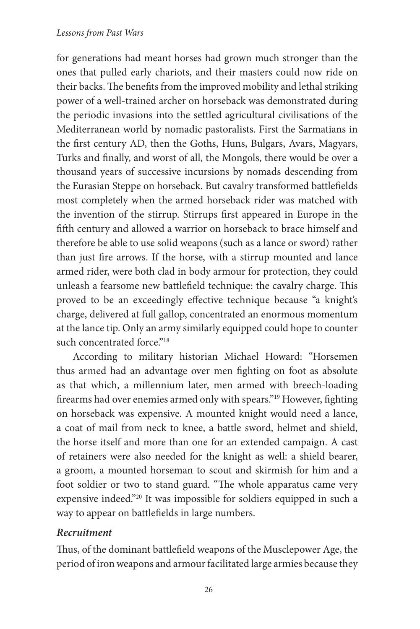#### *Lessons from Past Wars*

for generations had meant horses had grown much stronger than the ones that pulled early chariots, and their masters could now ride on their backs. The benefits from the improved mobility and lethal striking power of a well-trained archer on horseback was demonstrated during the periodic invasions into the settled agricultural civilisations of the Mediterranean world by nomadic pastoralists. First the Sarmatians in the first century AD, then the Goths, Huns, Bulgars, Avars, Magyars, Turks and finally, and worst of all, the Mongols, there would be over a thousand years of successive incursions by nomads descending from the Eurasian Steppe on horseback. But cavalry transformed battlefields most completely when the armed horseback rider was matched with the invention of the stirrup. Stirrups first appeared in Europe in the fifth century and allowed a warrior on horseback to brace himself and therefore be able to use solid weapons (such as a lance or sword) rather than just fire arrows. If the horse, with a stirrup mounted and lance armed rider, were both clad in body armour for protection, they could unleash a fearsome new battlefield technique: the cavalry charge. This proved to be an exceedingly effective technique because "a knight's charge, delivered at full gallop, concentrated an enormous momentum at the lance tip. Only an army similarly equipped could hope to counter such concentrated force."<sup>18</sup>

According to military historian Michael Howard: "Horsemen thus armed had an advantage over men fighting on foot as absolute as that which, a millennium later, men armed with breech-loading firearms had over enemies armed only with spears."<sup>19</sup> However, fighting on horseback was expensive. A mounted knight would need a lance, a coat of mail from neck to knee, a battle sword, helmet and shield, the horse itself and more than one for an extended campaign. A cast of retainers were also needed for the knight as well: a shield bearer, a groom, a mounted horseman to scout and skirmish for him and a foot soldier or two to stand guard. "The whole apparatus came very expensive indeed."20 It was impossible for soldiers equipped in such a way to appear on battlefields in large numbers.

#### *Recruitment*

Thus, of the dominant battlefield weapons of the Musclepower Age, the period of iron weapons and armour facilitated large armies because they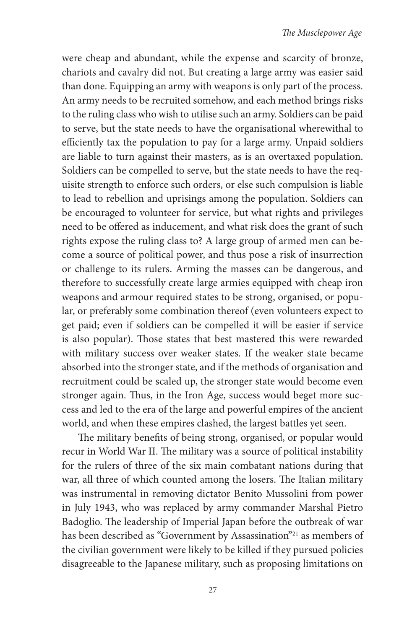were cheap and abundant, while the expense and scarcity of bronze, chariots and cavalry did not. But creating a large army was easier said than done. Equipping an army with weapons is only part of the process. An army needs to be recruited somehow, and each method brings risks to the ruling class who wish to utilise such an army. Soldiers can be paid to serve, but the state needs to have the organisational wherewithal to efficiently tax the population to pay for a large army. Unpaid soldiers are liable to turn against their masters, as is an overtaxed population. Soldiers can be compelled to serve, but the state needs to have the requisite strength to enforce such orders, or else such compulsion is liable to lead to rebellion and uprisings among the population. Soldiers can be encouraged to volunteer for service, but what rights and privileges need to be offered as inducement, and what risk does the grant of such rights expose the ruling class to? A large group of armed men can become a source of political power, and thus pose a risk of insurrection or challenge to its rulers. Arming the masses can be dangerous, and therefore to successfully create large armies equipped with cheap iron weapons and armour required states to be strong, organised, or popular, or preferably some combination thereof (even volunteers expect to get paid; even if soldiers can be compelled it will be easier if service is also popular). Those states that best mastered this were rewarded with military success over weaker states. If the weaker state became absorbed into the stronger state, and if the methods of organisation and recruitment could be scaled up, the stronger state would become even stronger again. Thus, in the Iron Age, success would beget more success and led to the era of the large and powerful empires of the ancient world, and when these empires clashed, the largest battles yet seen.

The military benefits of being strong, organised, or popular would recur in World War II. The military was a source of political instability for the rulers of three of the six main combatant nations during that war, all three of which counted among the losers. The Italian military was instrumental in removing dictator Benito Mussolini from power in July 1943, who was replaced by army commander Marshal Pietro Badoglio. The leadership of Imperial Japan before the outbreak of war has been described as "Government by Assassination"<sup>21</sup> as members of the civilian government were likely to be killed if they pursued policies disagreeable to the Japanese military, such as proposing limitations on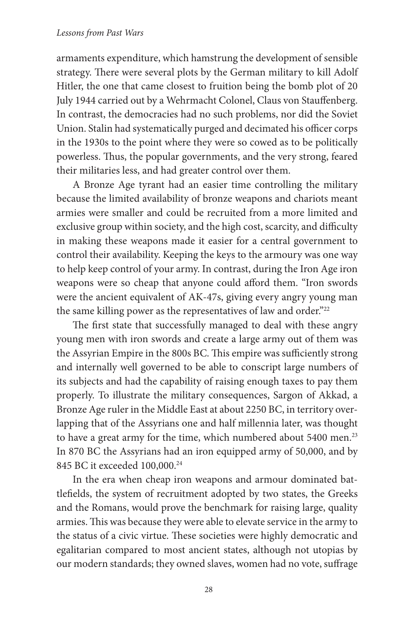#### *Lessons from Past Wars*

armaments expenditure, which hamstrung the development of sensible strategy. There were several plots by the German military to kill Adolf Hitler, the one that came closest to fruition being the bomb plot of 20 July 1944 carried out by a Wehrmacht Colonel, Claus von Stauffenberg. In contrast, the democracies had no such problems, nor did the Soviet Union. Stalin had systematically purged and decimated his officer corps in the 1930s to the point where they were so cowed as to be politically powerless. Thus, the popular governments, and the very strong, feared their militaries less, and had greater control over them.

A Bronze Age tyrant had an easier time controlling the military because the limited availability of bronze weapons and chariots meant armies were smaller and could be recruited from a more limited and exclusive group within society, and the high cost, scarcity, and difficulty in making these weapons made it easier for a central government to control their availability. Keeping the keys to the armoury was one way to help keep control of your army. In contrast, during the Iron Age iron weapons were so cheap that anyone could afford them. "Iron swords were the ancient equivalent of AK-47s, giving every angry young man the same killing power as the representatives of law and order."<sup>22</sup>

The first state that successfully managed to deal with these angry young men with iron swords and create a large army out of them was the Assyrian Empire in the 800s BC. This empire was sufficiently strong and internally well governed to be able to conscript large numbers of its subjects and had the capability of raising enough taxes to pay them properly. To illustrate the military consequences, Sargon of Akkad, a Bronze Age ruler in the Middle East at about 2250 BC, in territory overlapping that of the Assyrians one and half millennia later, was thought to have a great army for the time, which numbered about 5400 men.<sup>23</sup> In 870 BC the Assyrians had an iron equipped army of 50,000, and by 845 BC it exceeded 100,000.24

In the era when cheap iron weapons and armour dominated battlefields, the system of recruitment adopted by two states, the Greeks and the Romans, would prove the benchmark for raising large, quality armies. This was because they were able to elevate service in the army to the status of a civic virtue. These societies were highly democratic and egalitarian compared to most ancient states, although not utopias by our modern standards; they owned slaves, women had no vote, suffrage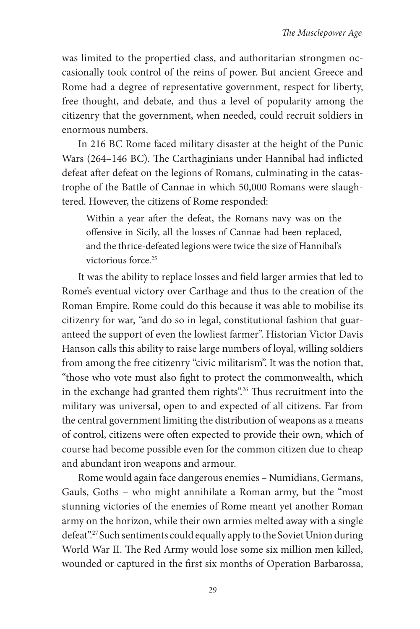was limited to the propertied class, and authoritarian strongmen occasionally took control of the reins of power. But ancient Greece and Rome had a degree of representative government, respect for liberty, free thought, and debate, and thus a level of popularity among the citizenry that the government, when needed, could recruit soldiers in enormous numbers.

In 216 BC Rome faced military disaster at the height of the Punic Wars (264–146 BC). The Carthaginians under Hannibal had inflicted defeat after defeat on the legions of Romans, culminating in the catastrophe of the Battle of Cannae in which 50,000 Romans were slaughtered. However, the citizens of Rome responded:

Within a year after the defeat, the Romans navy was on the offensive in Sicily, all the losses of Cannae had been replaced, and the thrice-defeated legions were twice the size of Hannibal's victorious force.<sup>25</sup>

It was the ability to replace losses and field larger armies that led to Rome's eventual victory over Carthage and thus to the creation of the Roman Empire. Rome could do this because it was able to mobilise its citizenry for war, "and do so in legal, constitutional fashion that guaranteed the support of even the lowliest farmer". Historian Victor Davis Hanson calls this ability to raise large numbers of loyal, willing soldiers from among the free citizenry "civic militarism". It was the notion that, "those who vote must also fight to protect the commonwealth, which in the exchange had granted them rights".<sup>26</sup> Thus recruitment into the military was universal, open to and expected of all citizens. Far from the central government limiting the distribution of weapons as a means of control, citizens were often expected to provide their own, which of course had become possible even for the common citizen due to cheap and abundant iron weapons and armour.

Rome would again face dangerous enemies – Numidians, Germans, Gauls, Goths – who might annihilate a Roman army, but the "most stunning victories of the enemies of Rome meant yet another Roman army on the horizon, while their own armies melted away with a single defeat".27 Such sentiments could equally apply to the Soviet Union during World War II. The Red Army would lose some six million men killed, wounded or captured in the first six months of Operation Barbarossa,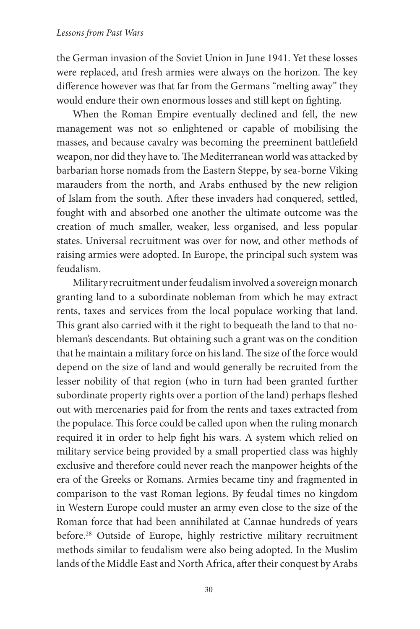the German invasion of the Soviet Union in June 1941. Yet these losses were replaced, and fresh armies were always on the horizon. The key difference however was that far from the Germans "melting away" they would endure their own enormous losses and still kept on fighting.

When the Roman Empire eventually declined and fell, the new management was not so enlightened or capable of mobilising the masses, and because cavalry was becoming the preeminent battlefield weapon, nor did they have to. The Mediterranean world was attacked by barbarian horse nomads from the Eastern Steppe, by sea-borne Viking marauders from the north, and Arabs enthused by the new religion of Islam from the south. After these invaders had conquered, settled, fought with and absorbed one another the ultimate outcome was the creation of much smaller, weaker, less organised, and less popular states. Universal recruitment was over for now, and other methods of raising armies were adopted. In Europe, the principal such system was feudalism.

Military recruitment under feudalism involved a sovereign monarch granting land to a subordinate nobleman from which he may extract rents, taxes and services from the local populace working that land. This grant also carried with it the right to bequeath the land to that nobleman's descendants. But obtaining such a grant was on the condition that he maintain a military force on his land. The size of the force would depend on the size of land and would generally be recruited from the lesser nobility of that region (who in turn had been granted further subordinate property rights over a portion of the land) perhaps fleshed out with mercenaries paid for from the rents and taxes extracted from the populace. This force could be called upon when the ruling monarch required it in order to help fight his wars. A system which relied on military service being provided by a small propertied class was highly exclusive and therefore could never reach the manpower heights of the era of the Greeks or Romans. Armies became tiny and fragmented in comparison to the vast Roman legions. By feudal times no kingdom in Western Europe could muster an army even close to the size of the Roman force that had been annihilated at Cannae hundreds of years before.<sup>28</sup> Outside of Europe, highly restrictive military recruitment methods similar to feudalism were also being adopted. In the Muslim lands of the Middle East and North Africa, after their conquest by Arabs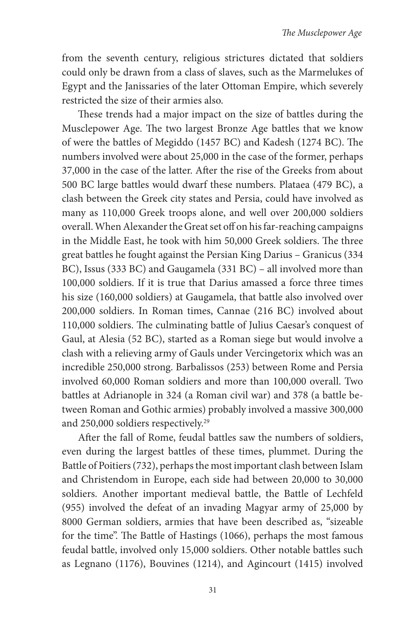from the seventh century, religious strictures dictated that soldiers could only be drawn from a class of slaves, such as the Marmelukes of Egypt and the Janissaries of the later Ottoman Empire, which severely restricted the size of their armies also.

These trends had a major impact on the size of battles during the Musclepower Age. The two largest Bronze Age battles that we know of were the battles of Megiddo (1457 BC) and Kadesh (1274 BC). The numbers involved were about 25,000 in the case of the former, perhaps 37,000 in the case of the latter. After the rise of the Greeks from about 500 BC large battles would dwarf these numbers. Plataea (479 BC), a clash between the Greek city states and Persia, could have involved as many as 110,000 Greek troops alone, and well over 200,000 soldiers overall. When Alexander the Great set off on his far-reaching campaigns in the Middle East, he took with him 50,000 Greek soldiers. The three great battles he fought against the Persian King Darius – Granicus (334 BC), Issus (333 BC) and Gaugamela (331 BC) – all involved more than 100,000 soldiers. If it is true that Darius amassed a force three times his size (160,000 soldiers) at Gaugamela, that battle also involved over 200,000 soldiers. In Roman times, Cannae (216 BC) involved about 110,000 soldiers. The culminating battle of Julius Caesar's conquest of Gaul, at Alesia (52 BC), started as a Roman siege but would involve a clash with a relieving army of Gauls under Vercingetorix which was an incredible 250,000 strong. Barbalissos (253) between Rome and Persia involved 60,000 Roman soldiers and more than 100,000 overall. Two battles at Adrianople in 324 (a Roman civil war) and 378 (a battle between Roman and Gothic armies) probably involved a massive 300,000 and 250,000 soldiers respectively.29

After the fall of Rome, feudal battles saw the numbers of soldiers, even during the largest battles of these times, plummet. During the Battle of Poitiers (732), perhaps the most important clash between Islam and Christendom in Europe, each side had between 20,000 to 30,000 soldiers. Another important medieval battle, the Battle of Lechfeld (955) involved the defeat of an invading Magyar army of 25,000 by 8000 German soldiers, armies that have been described as, "sizeable for the time". The Battle of Hastings (1066), perhaps the most famous feudal battle, involved only 15,000 soldiers. Other notable battles such as Legnano (1176), Bouvines (1214), and Agincourt (1415) involved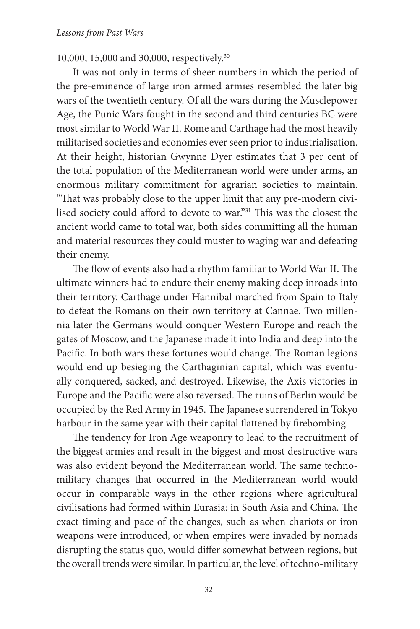10,000, 15,000 and 30,000, respectively.30

It was not only in terms of sheer numbers in which the period of the pre-eminence of large iron armed armies resembled the later big wars of the twentieth century. Of all the wars during the Musclepower Age, the Punic Wars fought in the second and third centuries BC were most similar to World War II. Rome and Carthage had the most heavily militarised societies and economies ever seen prior to industrialisation. At their height, historian Gwynne Dyer estimates that 3 per cent of the total population of the Mediterranean world were under arms, an enormous military commitment for agrarian societies to maintain. "That was probably close to the upper limit that any pre-modern civilised society could afford to devote to war."<sup>31</sup> This was the closest the ancient world came to total war, both sides committing all the human and material resources they could muster to waging war and defeating their enemy.

The flow of events also had a rhythm familiar to World War II. The ultimate winners had to endure their enemy making deep inroads into their territory. Carthage under Hannibal marched from Spain to Italy to defeat the Romans on their own territory at Cannae. Two millennia later the Germans would conquer Western Europe and reach the gates of Moscow, and the Japanese made it into India and deep into the Pacific. In both wars these fortunes would change. The Roman legions would end up besieging the Carthaginian capital, which was eventually conquered, sacked, and destroyed. Likewise, the Axis victories in Europe and the Pacific were also reversed. The ruins of Berlin would be occupied by the Red Army in 1945. The Japanese surrendered in Tokyo harbour in the same year with their capital flattened by firebombing.

The tendency for Iron Age weaponry to lead to the recruitment of the biggest armies and result in the biggest and most destructive wars was also evident beyond the Mediterranean world. The same technomilitary changes that occurred in the Mediterranean world would occur in comparable ways in the other regions where agricultural civilisations had formed within Eurasia: in South Asia and China. The exact timing and pace of the changes, such as when chariots or iron weapons were introduced, or when empires were invaded by nomads disrupting the status quo, would differ somewhat between regions, but the overall trends were similar. In particular, the level of techno-military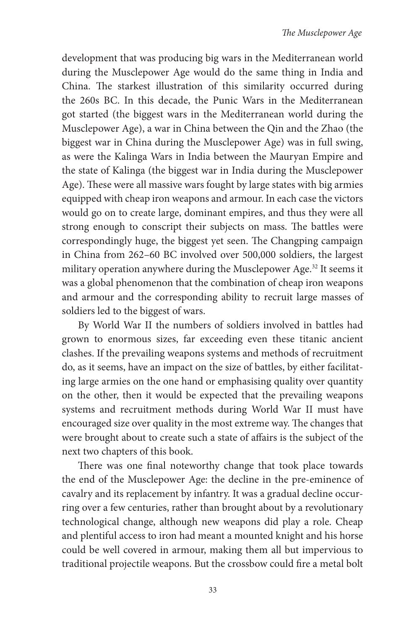development that was producing big wars in the Mediterranean world during the Musclepower Age would do the same thing in India and China. The starkest illustration of this similarity occurred during the 260s BC. In this decade, the Punic Wars in the Mediterranean got started (the biggest wars in the Mediterranean world during the Musclepower Age), a war in China between the Qin and the Zhao (the biggest war in China during the Musclepower Age) was in full swing, as were the Kalinga Wars in India between the Mauryan Empire and the state of Kalinga (the biggest war in India during the Musclepower Age). These were all massive wars fought by large states with big armies equipped with cheap iron weapons and armour. In each case the victors would go on to create large, dominant empires, and thus they were all strong enough to conscript their subjects on mass. The battles were correspondingly huge, the biggest yet seen. The Changping campaign in China from 262–60 BC involved over 500,000 soldiers, the largest military operation anywhere during the Musclepower Age.32 It seems it was a global phenomenon that the combination of cheap iron weapons and armour and the corresponding ability to recruit large masses of soldiers led to the biggest of wars.

By World War II the numbers of soldiers involved in battles had grown to enormous sizes, far exceeding even these titanic ancient clashes. If the prevailing weapons systems and methods of recruitment do, as it seems, have an impact on the size of battles, by either facilitating large armies on the one hand or emphasising quality over quantity on the other, then it would be expected that the prevailing weapons systems and recruitment methods during World War II must have encouraged size over quality in the most extreme way. The changes that were brought about to create such a state of affairs is the subject of the next two chapters of this book.

There was one final noteworthy change that took place towards the end of the Musclepower Age: the decline in the pre-eminence of cavalry and its replacement by infantry. It was a gradual decline occurring over a few centuries, rather than brought about by a revolutionary technological change, although new weapons did play a role. Cheap and plentiful access to iron had meant a mounted knight and his horse could be well covered in armour, making them all but impervious to traditional projectile weapons. But the crossbow could fire a metal bolt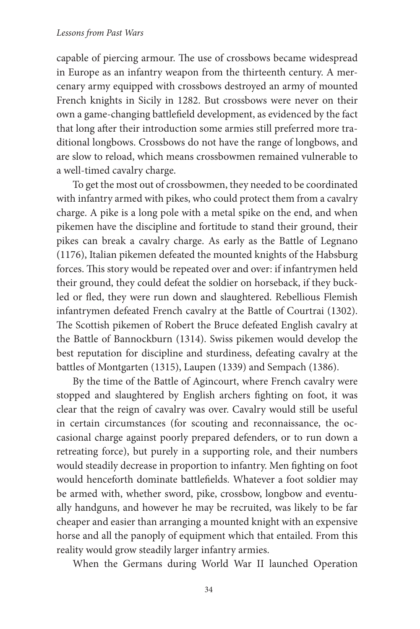capable of piercing armour. The use of crossbows became widespread in Europe as an infantry weapon from the thirteenth century. A mercenary army equipped with crossbows destroyed an army of mounted French knights in Sicily in 1282. But crossbows were never on their own a game-changing battlefield development, as evidenced by the fact that long after their introduction some armies still preferred more traditional longbows. Crossbows do not have the range of longbows, and are slow to reload, which means crossbowmen remained vulnerable to a well-timed cavalry charge.

To get the most out of crossbowmen, they needed to be coordinated with infantry armed with pikes, who could protect them from a cavalry charge. A pike is a long pole with a metal spike on the end, and when pikemen have the discipline and fortitude to stand their ground, their pikes can break a cavalry charge. As early as the Battle of Legnano (1176), Italian pikemen defeated the mounted knights of the Habsburg forces. This story would be repeated over and over: if infantrymen held their ground, they could defeat the soldier on horseback, if they buckled or fled, they were run down and slaughtered. Rebellious Flemish infantrymen defeated French cavalry at the Battle of Courtrai (1302). The Scottish pikemen of Robert the Bruce defeated English cavalry at the Battle of Bannockburn (1314). Swiss pikemen would develop the best reputation for discipline and sturdiness, defeating cavalry at the battles of Montgarten (1315), Laupen (1339) and Sempach (1386).

By the time of the Battle of Agincourt, where French cavalry were stopped and slaughtered by English archers fighting on foot, it was clear that the reign of cavalry was over. Cavalry would still be useful in certain circumstances (for scouting and reconnaissance, the occasional charge against poorly prepared defenders, or to run down a retreating force), but purely in a supporting role, and their numbers would steadily decrease in proportion to infantry. Men fighting on foot would henceforth dominate battlefields. Whatever a foot soldier may be armed with, whether sword, pike, crossbow, longbow and eventually handguns, and however he may be recruited, was likely to be far cheaper and easier than arranging a mounted knight with an expensive horse and all the panoply of equipment which that entailed. From this reality would grow steadily larger infantry armies.

When the Germans during World War II launched Operation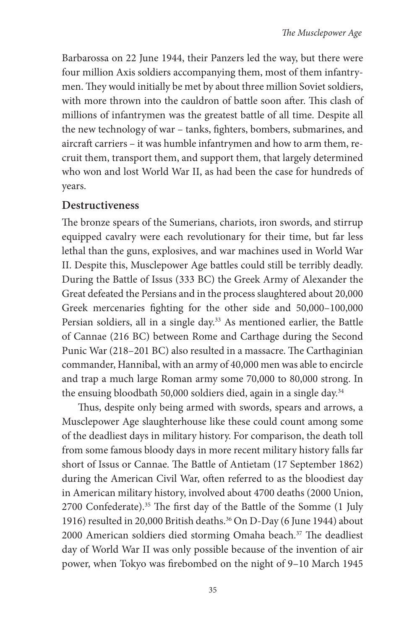Barbarossa on 22 June 1944, their Panzers led the way, but there were four million Axis soldiers accompanying them, most of them infantrymen. They would initially be met by about three million Soviet soldiers, with more thrown into the cauldron of battle soon after. This clash of millions of infantrymen was the greatest battle of all time. Despite all the new technology of war – tanks, fighters, bombers, submarines, and aircraft carriers – it was humble infantrymen and how to arm them, recruit them, transport them, and support them, that largely determined who won and lost World War II, as had been the case for hundreds of years.

### **Destructiveness**

The bronze spears of the Sumerians, chariots, iron swords, and stirrup equipped cavalry were each revolutionary for their time, but far less lethal than the guns, explosives, and war machines used in World War II. Despite this, Musclepower Age battles could still be terribly deadly. During the Battle of Issus (333 BC) the Greek Army of Alexander the Great defeated the Persians and in the process slaughtered about 20,000 Greek mercenaries fighting for the other side and 50,000-100,000 Persian soldiers, all in a single day.<sup>33</sup> As mentioned earlier, the Battle of Cannae (216 BC) between Rome and Carthage during the Second Punic War (218-201 BC) also resulted in a massacre. The Carthaginian commander, Hannibal, with an army of 40,000 men was able to encircle and trap a much large Roman army some 70,000 to 80,000 strong. In the ensuing bloodbath 50,000 soldiers died, again in a single day.<sup>34</sup>

Thus, despite only being armed with swords, spears and arrows, a Musclepower Age slaughterhouse like these could count among some of the deadliest days in military history. For comparison, the death toll from some famous bloody days in more recent military history falls far short of Issus or Cannae. The Battle of Antietam (17 September 1862) during the American Civil War, often referred to as the bloodiest day in American military history, involved about 4700 deaths (2000 Union, 2700 Confederate).<sup>35</sup> The first day of the Battle of the Somme  $(1 \text{ July } 1)$ 1916) resulted in 20,000 British deaths.<sup>36</sup> On D-Day (6 June 1944) about 2000 American soldiers died storming Omaha beach.<sup>37</sup> The deadliest day of World War II was only possible because of the invention of air power, when Tokyo was firebombed on the night of 9-10 March 1945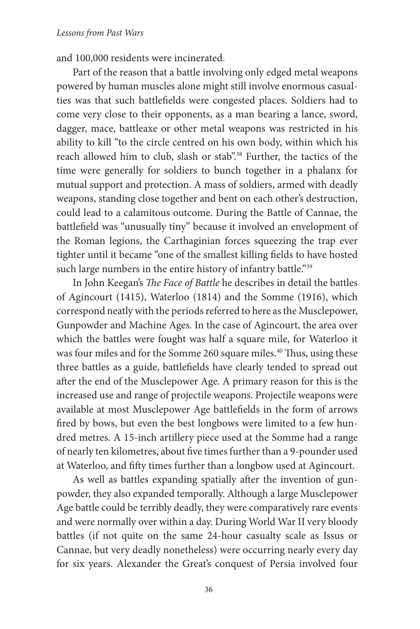and 100,000 residents were incinerated.

Part of the reason that a battle involving only edged metal weapons powered by human muscles alone might still involve enormous casualties was that such battlefields were congested places. Soldiers had to come very close to their opponents, as a man bearing a lance, sword, dagger, mace, battleaxe or other metal weapons was restricted in his ability to kill "to the circle centred on his own body, within which his reach allowed him to club, slash or stab".<sup>38</sup> Further, the tactics of the time were generally for soldiers to bunch together in a phalanx for mutual support and protection. A mass of soldiers, armed with deadly weapons, standing close together and bent on each other's destruction, could lead to a calamitous outcome. During the Battle of Cannae, the battlefield was "unusually tiny" because it involved an envelopment of the Roman legions, the Carthaginian forces squeezing the trap ever tighter until it became "one of the smallest killing fields to have hosted such large numbers in the entire history of infantry battle."39

In John Keegan's *The Face of Battle* he describes in detail the battles of Agincourt (1415), Waterloo (1814) and the Somme (1916), which correspond neatly with the periods referred to here as the Musclepower, Gunpowder and Machine Ages. In the case of Agincourt, the area over which the battles were fought was half a square mile, for Waterloo it was four miles and for the Somme 260 square miles.<sup>40</sup> Thus, using these three battles as a guide, battlefields have clearly tended to spread out after the end of the Musclepower Age. A primary reason for this is the increased use and range of projectile weapons. Projectile weapons were available at most Musclepower Age battlefields in the form of arrows fired by bows, but even the best longbows were limited to a few hundred metres. A 15-inch artillery piece used at the Somme had a range of nearly ten kilometres, about five times further than a 9-pounder used at Waterloo, and fifty times further than a longbow used at Agincourt.

As well as battles expanding spatially after the invention of gunpowder, they also expanded temporally. Although a large Musclepower Age battle could be terribly deadly, they were comparatively rare events and were normally over within a day. During World War II very bloody battles (if not quite on the same 24-hour casualty scale as Issus or Cannae, but very deadly nonetheless) were occurring nearly every day for six years. Alexander the Great's conquest of Persia involved four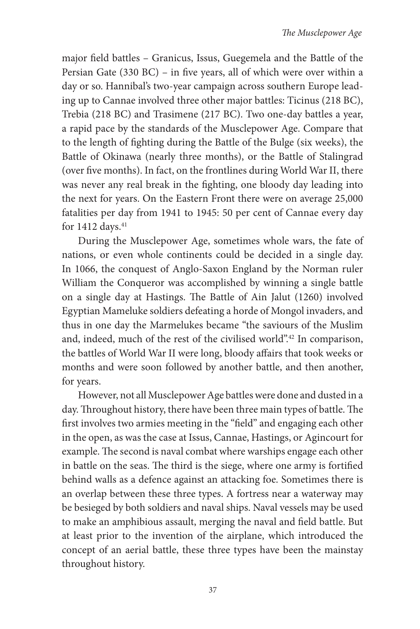major field battles - Granicus, Issus, Guegemela and the Battle of the Persian Gate (330 BC) – in five years, all of which were over within a day or so. Hannibal's two-year campaign across southern Europe leading up to Cannae involved three other major battles: Ticinus (218 BC), Trebia (218 BC) and Trasimene (217 BC). Two one-day battles a year, a rapid pace by the standards of the Musclepower Age. Compare that to the length of fighting during the Battle of the Bulge (six weeks), the Battle of Okinawa (nearly three months), or the Battle of Stalingrad (over five months). In fact, on the frontlines during World War II, there was never any real break in the fighting, one bloody day leading into the next for years. On the Eastern Front there were on average 25,000 fatalities per day from 1941 to 1945: 50 per cent of Cannae every day for 1412 days. $41$ 

During the Musclepower Age, sometimes whole wars, the fate of nations, or even whole continents could be decided in a single day. In 1066, the conquest of Anglo-Saxon England by the Norman ruler William the Conqueror was accomplished by winning a single battle on a single day at Hastings. The Battle of Ain Jalut (1260) involved Egyptian Mameluke soldiers defeating a horde of Mongol invaders, and thus in one day the Marmelukes became "the saviours of the Muslim and, indeed, much of the rest of the civilised world".42 In comparison, the battles of World War II were long, bloody affairs that took weeks or months and were soon followed by another battle, and then another, for years.

However, not all Musclepower Age battles were done and dusted in a day. Throughout history, there have been three main types of battle. The first involves two armies meeting in the "field" and engaging each other in the open, as was the case at Issus, Cannae, Hastings, or Agincourt for example. The second is naval combat where warships engage each other in battle on the seas. The third is the siege, where one army is fortified behind walls as a defence against an attacking foe. Sometimes there is an overlap between these three types. A fortress near a waterway may be besieged by both soldiers and naval ships. Naval vessels may be used to make an amphibious assault, merging the naval and field battle. But at least prior to the invention of the airplane, which introduced the concept of an aerial battle, these three types have been the mainstay throughout history.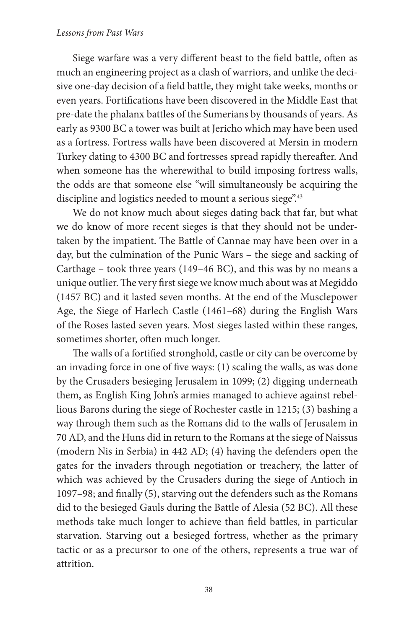#### *Lessons from Past Wars*

Siege warfare was a very different beast to the field battle, often as much an engineering project as a clash of warriors, and unlike the decisive one-day decision of a field battle, they might take weeks, months or even years. Fortifications have been discovered in the Middle East that pre-date the phalanx battles of the Sumerians by thousands of years. As early as 9300 BC a tower was built at Jericho which may have been used as a fortress. Fortress walls have been discovered at Mersin in modern Turkey dating to 4300 BC and fortresses spread rapidly thereafter. And when someone has the wherewithal to build imposing fortress walls, the odds are that someone else "will simultaneously be acquiring the discipline and logistics needed to mount a serious siege".<sup>43</sup>

We do not know much about sieges dating back that far, but what we do know of more recent sieges is that they should not be undertaken by the impatient. The Battle of Cannae may have been over in a day, but the culmination of the Punic Wars – the siege and sacking of Carthage – took three years (149–46 BC), and this was by no means a unique outlier. The very first siege we know much about was at Megiddo (1457 BC) and it lasted seven months. At the end of the Musclepower Age, the Siege of Harlech Castle (1461–68) during the English Wars of the Roses lasted seven years. Most sieges lasted within these ranges, sometimes shorter, often much longer.

The walls of a fortified stronghold, castle or city can be overcome by an invading force in one of five ways:  $(1)$  scaling the walls, as was done by the Crusaders besieging Jerusalem in 1099; (2) digging underneath them, as English King John's armies managed to achieve against rebellious Barons during the siege of Rochester castle in 1215; (3) bashing a way through them such as the Romans did to the walls of Jerusalem in 70 AD, and the Huns did in return to the Romans at the siege of Naissus (modern Nis in Serbia) in 442 AD; (4) having the defenders open the gates for the invaders through negotiation or treachery, the latter of which was achieved by the Crusaders during the siege of Antioch in 1097-98; and finally (5), starving out the defenders such as the Romans did to the besieged Gauls during the Battle of Alesia (52 BC). All these methods take much longer to achieve than field battles, in particular starvation. Starving out a besieged fortress, whether as the primary tactic or as a precursor to one of the others, represents a true war of attrition.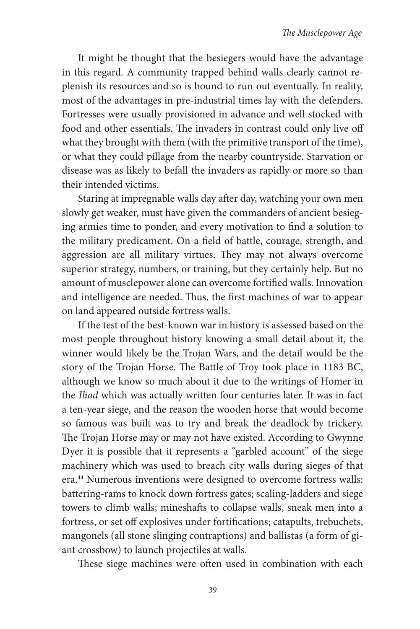It might be thought that the besiegers would have the advantage in this regard. A community trapped behind walls clearly cannot replenish its resources and so is bound to run out eventually. In reality, most of the advantages in pre-industrial times lay with the defenders. Fortresses were usually provisioned in advance and well stocked with food and other essentials. The invaders in contrast could only live off what they brought with them (with the primitive transport of the time), or what they could pillage from the nearby countryside. Starvation or disease was as likely to befall the invaders as rapidly or more so than their intended victims.

Staring at impregnable walls day after day, watching your own men slowly get weaker, must have given the commanders of ancient besieging armies time to ponder, and every motivation to find a solution to the military predicament. On a field of battle, courage, strength, and aggression are all military virtues. They may not always overcome superior strategy, numbers, or training, but they certainly help. But no amount of musclepower alone can overcome fortified walls. Innovation and intelligence are needed. Thus, the first machines of war to appear on land appeared outside fortress walls.

If the test of the best-known war in history is assessed based on the most people throughout history knowing a small detail about it, the winner would likely be the Trojan Wars, and the detail would be the story of the Trojan Horse. The Battle of Troy took place in 1183 BC, although we know so much about it due to the writings of Homer in the *Iliad* which was actually written four centuries later. It was in fact a ten-year siege, and the reason the wooden horse that would become so famous was built was to try and break the deadlock by trickery. The Trojan Horse may or may not have existed. According to Gwynne Dyer it is possible that it represents a "garbled account" of the siege machinery which was used to breach city walls during sieges of that era.44 Numerous inventions were designed to overcome fortress walls: battering-rams to knock down fortress gates; scaling-ladders and siege towers to climb walls; mineshafts to collapse walls, sneak men into a fortress, or set off explosives under fortifications; catapults, trebuchets, mangonels (all stone slinging contraptions) and ballistas (a form of giant crossbow) to launch projectiles at walls.

These siege machines were often used in combination with each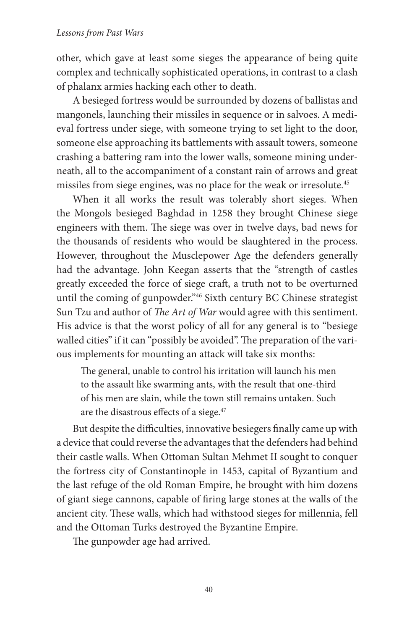#### *Lessons from Past Wars*

other, which gave at least some sieges the appearance of being quite complex and technically sophisticated operations, in contrast to a clash of phalanx armies hacking each other to death.

A besieged fortress would be surrounded by dozens of ballistas and mangonels, launching their missiles in sequence or in salvoes. A medieval fortress under siege, with someone trying to set light to the door, someone else approaching its battlements with assault towers, someone crashing a battering ram into the lower walls, someone mining underneath, all to the accompaniment of a constant rain of arrows and great missiles from siege engines, was no place for the weak or irresolute.45

When it all works the result was tolerably short sieges. When the Mongols besieged Baghdad in 1258 they brought Chinese siege engineers with them. The siege was over in twelve days, bad news for the thousands of residents who would be slaughtered in the process. However, throughout the Musclepower Age the defenders generally had the advantage. John Keegan asserts that the "strength of castles greatly exceeded the force of siege craft, a truth not to be overturned until the coming of gunpowder."46 Sixth century BC Chinese strategist Sun Tzu and author of *The Art of War* would agree with this sentiment. His advice is that the worst policy of all for any general is to "besiege walled cities" if it can "possibly be avoided". The preparation of the various implements for mounting an attack will take six months:

The general, unable to control his irritation will launch his men to the assault like swarming ants, with the result that one-third of his men are slain, while the town still remains untaken. Such are the disastrous effects of a siege. $47$ 

But despite the difficulties, innovative besiegers finally came up with a device that could reverse the advantages that the defenders had behind their castle walls. When Ottoman Sultan Mehmet II sought to conquer the fortress city of Constantinople in 1453, capital of Byzantium and the last refuge of the old Roman Empire, he brought with him dozens of giant siege cannons, capable of firing large stones at the walls of the ancient city. These walls, which had withstood sieges for millennia, fell and the Ottoman Turks destroyed the Byzantine Empire.

The gunpowder age had arrived.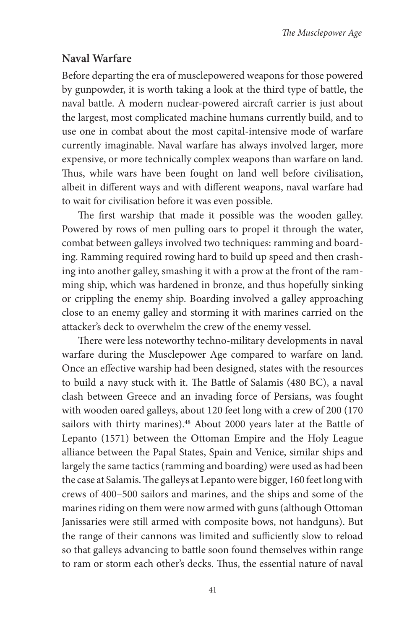# **Naval Warfare**

Before departing the era of musclepowered weapons for those powered by gunpowder, it is worth taking a look at the third type of battle, the naval battle. A modern nuclear-powered aircraft carrier is just about the largest, most complicated machine humans currently build, and to use one in combat about the most capital-intensive mode of warfare currently imaginable. Naval warfare has always involved larger, more expensive, or more technically complex weapons than warfare on land. Thus, while wars have been fought on land well before civilisation, albeit in different ways and with different weapons, naval warfare had to wait for civilisation before it was even possible.

The first warship that made it possible was the wooden galley. Powered by rows of men pulling oars to propel it through the water, combat between galleys involved two techniques: ramming and boarding. Ramming required rowing hard to build up speed and then crashing into another galley, smashing it with a prow at the front of the ramming ship, which was hardened in bronze, and thus hopefully sinking or crippling the enemy ship. Boarding involved a galley approaching close to an enemy galley and storming it with marines carried on the attacker's deck to overwhelm the crew of the enemy vessel.

There were less noteworthy techno-military developments in naval warfare during the Musclepower Age compared to warfare on land. Once an effective warship had been designed, states with the resources to build a navy stuck with it. The Battle of Salamis (480 BC), a naval clash between Greece and an invading force of Persians, was fought with wooden oared galleys, about 120 feet long with a crew of 200 (170 sailors with thirty marines).<sup>48</sup> About 2000 years later at the Battle of Lepanto (1571) between the Ottoman Empire and the Holy League alliance between the Papal States, Spain and Venice, similar ships and largely the same tactics (ramming and boarding) were used as had been the case at Salamis. The galleys at Lepanto were bigger, 160 feet long with crews of 400–500 sailors and marines, and the ships and some of the marines riding on them were now armed with guns (although Ottoman Janissaries were still armed with composite bows, not handguns). But the range of their cannons was limited and sufficiently slow to reload so that galleys advancing to battle soon found themselves within range to ram or storm each other's decks. Thus, the essential nature of naval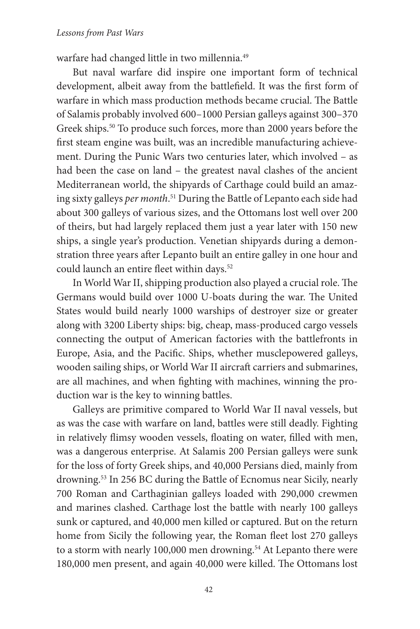warfare had changed little in two millennia.49

But naval warfare did inspire one important form of technical development, albeit away from the battlefield. It was the first form of warfare in which mass production methods became crucial. The Battle of Salamis probably involved 600–1000 Persian galleys against 300–370 Greek ships.<sup>50</sup> To produce such forces, more than 2000 years before the first steam engine was built, was an incredible manufacturing achievement. During the Punic Wars two centuries later, which involved – as had been the case on land – the greatest naval clashes of the ancient Mediterranean world, the shipyards of Carthage could build an amazing sixty galleys *per month*. 51 During the Battle of Lepanto each side had about 300 galleys of various sizes, and the Ottomans lost well over 200 of theirs, but had largely replaced them just a year later with 150 new ships, a single year's production. Venetian shipyards during a demonstration three years after Lepanto built an entire galley in one hour and could launch an entire fleet within days.<sup>52</sup>

In World War II, shipping production also played a crucial role. The Germans would build over 1000 U-boats during the war. The United States would build nearly 1000 warships of destroyer size or greater along with 3200 Liberty ships: big, cheap, mass-produced cargo vessels connecting the output of American factories with the battlefronts in Europe, Asia, and the Pacific. Ships, whether musclepowered galleys, wooden sailing ships, or World War II aircraft carriers and submarines, are all machines, and when fighting with machines, winning the production war is the key to winning battles.

Galleys are primitive compared to World War II naval vessels, but as was the case with warfare on land, battles were still deadly. Fighting in relatively flimsy wooden vessels, floating on water, filled with men, was a dangerous enterprise. At Salamis 200 Persian galleys were sunk for the loss of forty Greek ships, and 40,000 Persians died, mainly from drowning.53 In 256 BC during the Battle of Ecnomus near Sicily, nearly 700 Roman and Carthaginian galleys loaded with 290,000 crewmen and marines clashed. Carthage lost the battle with nearly 100 galleys sunk or captured, and 40,000 men killed or captured. But on the return home from Sicily the following year, the Roman fleet lost 270 galleys to a storm with nearly 100,000 men drowning.<sup>54</sup> At Lepanto there were 180,000 men present, and again 40,000 were killed. The Ottomans lost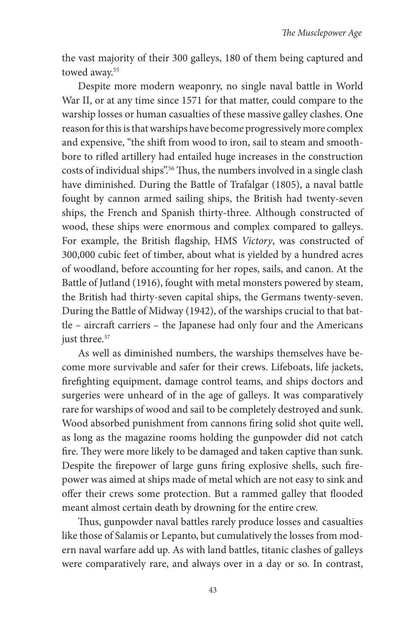the vast majority of their 300 galleys, 180 of them being captured and towed away.<sup>55</sup>

Despite more modern weaponry, no single naval battle in World War II, or at any time since 1571 for that matter, could compare to the warship losses or human casualties of these massive galley clashes. One reason for this is that warships have become progressively more complex and expensive, "the shift from wood to iron, sail to steam and smoothbore to rifled artillery had entailed huge increases in the construction costs of individual ships".<sup>56</sup> Thus, the numbers involved in a single clash have diminished. During the Battle of Trafalgar (1805), a naval battle fought by cannon armed sailing ships, the British had twenty-seven ships, the French and Spanish thirty-three. Although constructed of wood, these ships were enormous and complex compared to galleys. For example, the British flagship, HMS *Victory*, was constructed of 300,000 cubic feet of timber, about what is yielded by a hundred acres of woodland, before accounting for her ropes, sails, and canon. At the Battle of Jutland (1916), fought with metal monsters powered by steam, the British had thirty-seven capital ships, the Germans twenty-seven. During the Battle of Midway (1942), of the warships crucial to that battle – aircraft carriers – the Japanese had only four and the Americans just three.<sup>57</sup>

As well as diminished numbers, the warships themselves have become more survivable and safer for their crews. Lifeboats, life jackets, firefighting equipment, damage control teams, and ships doctors and surgeries were unheard of in the age of galleys. It was comparatively rare for warships of wood and sail to be completely destroyed and sunk. Wood absorbed punishment from cannons firing solid shot quite well, as long as the magazine rooms holding the gunpowder did not catch fire. They were more likely to be damaged and taken captive than sunk. Despite the firepower of large guns firing explosive shells, such firepower was aimed at ships made of metal which are not easy to sink and offer their crews some protection. But a rammed galley that flooded meant almost certain death by drowning for the entire crew.

Thus, gunpowder naval battles rarely produce losses and casualties like those of Salamis or Lepanto, but cumulatively the losses from modern naval warfare add up. As with land battles, titanic clashes of galleys were comparatively rare, and always over in a day or so. In contrast,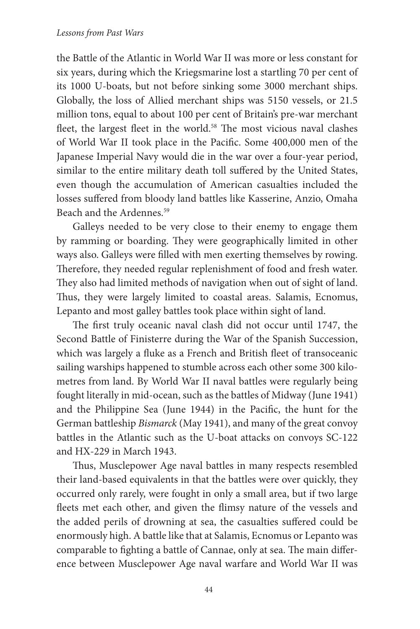the Battle of the Atlantic in World War II was more or less constant for six years, during which the Kriegsmarine lost a startling 70 per cent of its 1000 U-boats, but not before sinking some 3000 merchant ships. Globally, the loss of Allied merchant ships was 5150 vessels, or 21.5 million tons, equal to about 100 per cent of Britain's pre-war merchant fleet, the largest fleet in the world.<sup>58</sup> The most vicious naval clashes of World War II took place in the Pacific. Some 400,000 men of the Japanese Imperial Navy would die in the war over a four-year period, similar to the entire military death toll suffered by the United States, even though the accumulation of American casualties included the losses suffered from bloody land battles like Kasserine, Anzio, Omaha Beach and the Ardennes.59

Galleys needed to be very close to their enemy to engage them by ramming or boarding. They were geographically limited in other ways also. Galleys were filled with men exerting themselves by rowing. Therefore, they needed regular replenishment of food and fresh water. They also had limited methods of navigation when out of sight of land. Thus, they were largely limited to coastal areas. Salamis, Ecnomus, Lepanto and most galley battles took place within sight of land.

The first truly oceanic naval clash did not occur until 1747, the Second Battle of Finisterre during the War of the Spanish Succession, which was largely a fluke as a French and British fleet of transoceanic sailing warships happened to stumble across each other some 300 kilometres from land. By World War II naval battles were regularly being fought literally in mid-ocean, such as the battles of Midway (June 1941) and the Philippine Sea (June 1944) in the Pacific, the hunt for the German battleship *Bismarck* (May 1941), and many of the great convoy battles in the Atlantic such as the U-boat attacks on convoys SC-122 and HX-229 in March 1943.

Thus, Musclepower Age naval battles in many respects resembled their land-based equivalents in that the battles were over quickly, they occurred only rarely, were fought in only a small area, but if two large fleets met each other, and given the flimsy nature of the vessels and the added perils of drowning at sea, the casualties suffered could be enormously high. A battle like that at Salamis, Ecnomus or Lepanto was comparable to fighting a battle of Cannae, only at sea. The main difference between Musclepower Age naval warfare and World War II was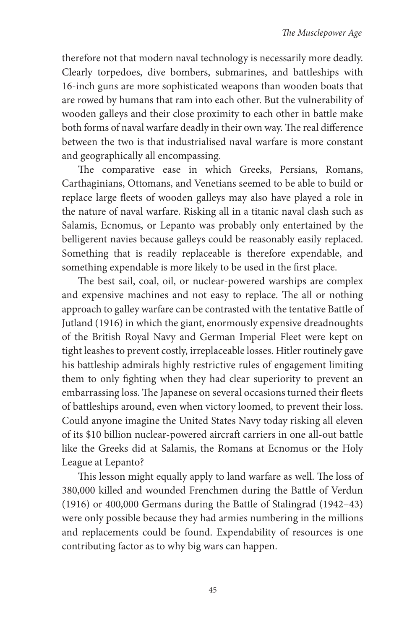therefore not that modern naval technology is necessarily more deadly. Clearly torpedoes, dive bombers, submarines, and battleships with 16-inch guns are more sophisticated weapons than wooden boats that are rowed by humans that ram into each other. But the vulnerability of wooden galleys and their close proximity to each other in battle make both forms of naval warfare deadly in their own way. The real difference between the two is that industrialised naval warfare is more constant and geographically all encompassing.

The comparative ease in which Greeks, Persians, Romans, Carthaginians, Ottomans, and Venetians seemed to be able to build or replace large fleets of wooden galleys may also have played a role in the nature of naval warfare. Risking all in a titanic naval clash such as Salamis, Ecnomus, or Lepanto was probably only entertained by the belligerent navies because galleys could be reasonably easily replaced. Something that is readily replaceable is therefore expendable, and something expendable is more likely to be used in the first place.

The best sail, coal, oil, or nuclear-powered warships are complex and expensive machines and not easy to replace. The all or nothing approach to galley warfare can be contrasted with the tentative Battle of Jutland (1916) in which the giant, enormously expensive dreadnoughts of the British Royal Navy and German Imperial Fleet were kept on tight leashes to prevent costly, irreplaceable losses. Hitler routinely gave his battleship admirals highly restrictive rules of engagement limiting them to only fighting when they had clear superiority to prevent an embarrassing loss. The Japanese on several occasions turned their fleets of battleships around, even when victory loomed, to prevent their loss. Could anyone imagine the United States Navy today risking all eleven of its \$10 billion nuclear-powered aircraft carriers in one all-out battle like the Greeks did at Salamis, the Romans at Ecnomus or the Holy League at Lepanto?

This lesson might equally apply to land warfare as well. The loss of 380,000 killed and wounded Frenchmen during the Battle of Verdun (1916) or 400,000 Germans during the Battle of Stalingrad (1942–43) were only possible because they had armies numbering in the millions and replacements could be found. Expendability of resources is one contributing factor as to why big wars can happen.